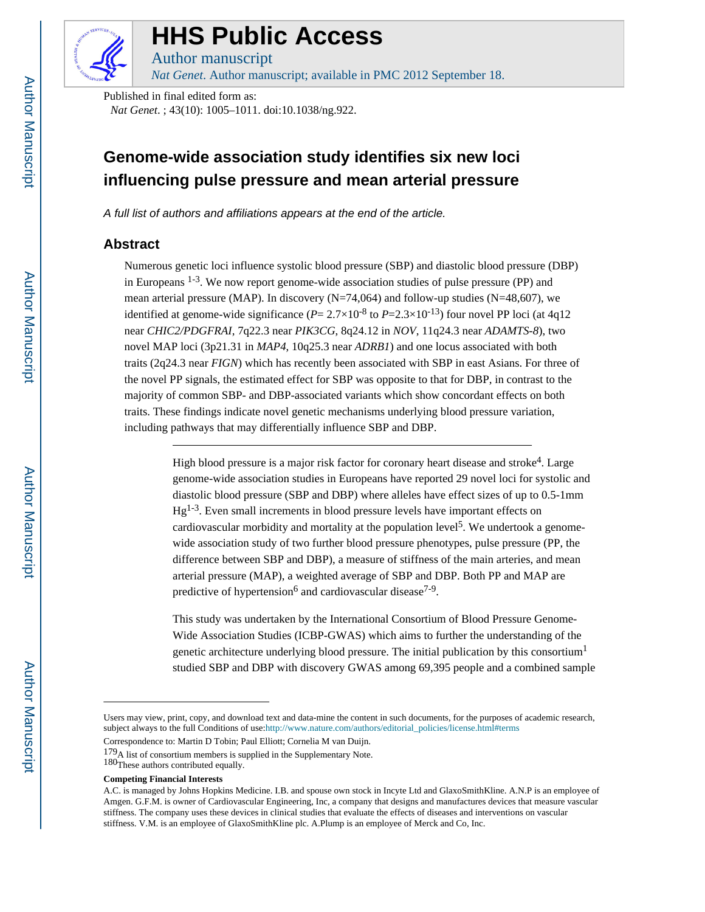

# **HHS Public Access**

Author manuscript *Nat Genet*. Author manuscript; available in PMC 2012 September 18.

Published in final edited form as: *Nat Genet*. ; 43(10): 1005–1011. doi:10.1038/ng.922.

# **Genome-wide association study identifies six new loci influencing pulse pressure and mean arterial pressure**

A full list of authors and affiliations appears at the end of the article.

# **Abstract**

Numerous genetic loci influence systolic blood pressure (SBP) and diastolic blood pressure (DBP) in Europeans <sup>1-3</sup>. We now report genome-wide association studies of pulse pressure (PP) and mean arterial pressure (MAP). In discovery (N=74,064) and follow-up studies (N=48,607), we identified at genome-wide significance  $(P = 2.7 \times 10^{-8}$  to  $P = 2.3 \times 10^{-13}$  four novel PP loci (at 4q12) near *CHIC2/PDGFRAI*, 7q22.3 near *PIK3CG*, 8q24.12 in *NOV*, 11q24.3 near *ADAMTS-8*), two novel MAP loci (3p21.31 in *MAP4*, 10q25.3 near *ADRB1*) and one locus associated with both traits (2q24.3 near *FIGN*) which has recently been associated with SBP in east Asians. For three of the novel PP signals, the estimated effect for SBP was opposite to that for DBP, in contrast to the majority of common SBP- and DBP-associated variants which show concordant effects on both traits. These findings indicate novel genetic mechanisms underlying blood pressure variation, including pathways that may differentially influence SBP and DBP.

> High blood pressure is a major risk factor for coronary heart disease and stroke<sup>4</sup>. Large genome-wide association studies in Europeans have reported 29 novel loci for systolic and diastolic blood pressure (SBP and DBP) where alleles have effect sizes of up to 0.5-1mm Hg<sup>1-3</sup>. Even small increments in blood pressure levels have important effects on cardiovascular morbidity and mortality at the population level<sup>5</sup>. We undertook a genomewide association study of two further blood pressure phenotypes, pulse pressure (PP, the difference between SBP and DBP), a measure of stiffness of the main arteries, and mean arterial pressure (MAP), a weighted average of SBP and DBP. Both PP and MAP are predictive of hypertension<sup>6</sup> and cardiovascular disease<sup>7-9</sup>.

This study was undertaken by the International Consortium of Blood Pressure Genome-Wide Association Studies (ICBP-GWAS) which aims to further the understanding of the genetic architecture underlying blood pressure. The initial publication by this consortium<sup>1</sup> studied SBP and DBP with discovery GWAS among 69,395 people and a combined sample

**Competing Financial Interests**

Users may view, print, copy, and download text and data-mine the content in such documents, for the purposes of academic research, subject always to the full Conditions of use:[http://www.nature.com/authors/editorial\\_policies/license.html#terms](http://www.nature.com/authors/editorial_policies/license.html#terms)

Correspondence to: Martin D Tobin; Paul Elliott; Cornelia M van Duijn.

<sup>179</sup>A list of consortium members is supplied in the Supplementary Note.

<sup>180</sup>These authors contributed equally.

A.C. is managed by Johns Hopkins Medicine. I.B. and spouse own stock in Incyte Ltd and GlaxoSmithKline. A.N.P is an employee of Amgen. G.F.M. is owner of Cardiovascular Engineering, Inc, a company that designs and manufactures devices that measure vascular stiffness. The company uses these devices in clinical studies that evaluate the effects of diseases and interventions on vascular stiffness. V.M. is an employee of GlaxoSmithKline plc. A.Plump is an employee of Merck and Co, Inc.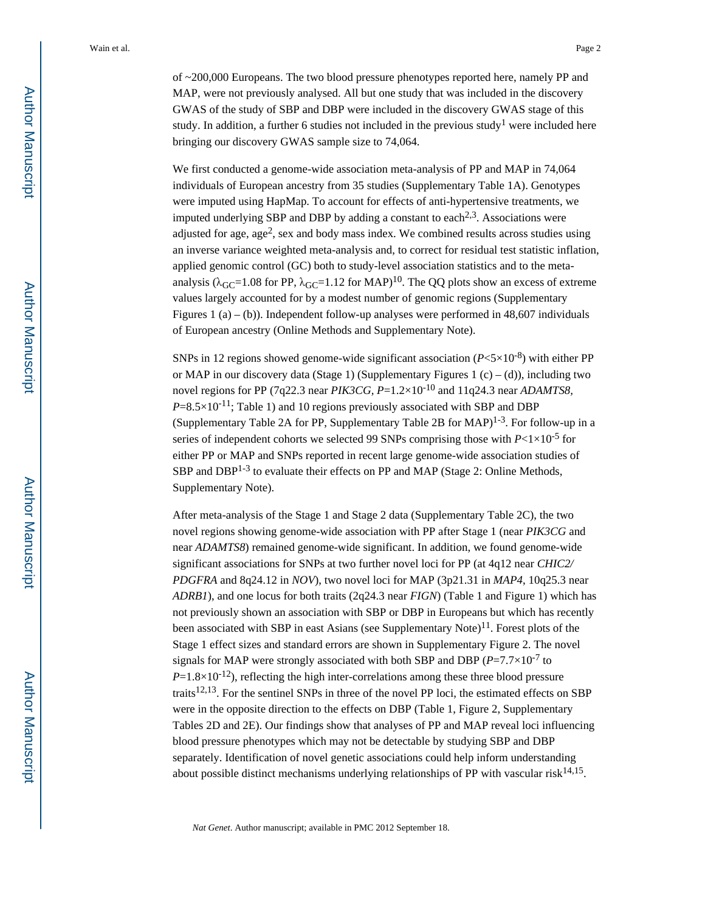We first conducted a genome-wide association meta-analysis of PP and MAP in 74,064 individuals of European ancestry from 35 studies (Supplementary Table 1A). Genotypes were imputed using HapMap. To account for effects of anti-hypertensive treatments, we imputed underlying SBP and DBP by adding a constant to each<sup>2,3</sup>. Associations were adjusted for age, age<sup>2</sup>, sex and body mass index. We combined results across studies using an inverse variance weighted meta-analysis and, to correct for residual test statistic inflation, applied genomic control (GC) both to study-level association statistics and to the metaanalysis ( $\lambda_{GC}$ =1.08 for PP,  $\lambda_{GC}$ =1.12 for MAP)<sup>10</sup>. The QQ plots show an excess of extreme values largely accounted for by a modest number of genomic regions (Supplementary Figures 1 (a) – (b)). Independent follow-up analyses were performed in  $48,607$  individuals of European ancestry (Online Methods and Supplementary Note).

SNPs in 12 regions showed genome-wide significant association  $(P< 5 \times 10^{-8})$  with either PP or MAP in our discovery data (Stage 1) (Supplementary Figures 1  $(c) - (d)$ ), including two novel regions for PP (7q22.3 near *PIK3CG, P*=1.2×10<sup>-10</sup> and 11q24.3 near *ADAMTS8*,  $P=8.5\times10^{-11}$ ; Table 1) and 10 regions previously associated with SBP and DBP (Supplementary Table 2A for PP, Supplementary Table 2B for  $MAP$ )<sup>1-3</sup>. For follow-up in a series of independent cohorts we selected 99 SNPs comprising those with  $P<1\times10^{-5}$  for either PP or MAP and SNPs reported in recent large genome-wide association studies of SBP and DBP<sup>1-3</sup> to evaluate their effects on PP and MAP (Stage 2: Online Methods, Supplementary Note).

After meta-analysis of the Stage 1 and Stage 2 data (Supplementary Table 2C), the two novel regions showing genome-wide association with PP after Stage 1 (near *PIK3CG* and near *ADAMTS8*) remained genome-wide significant. In addition, we found genome-wide significant associations for SNPs at two further novel loci for PP (at 4q12 near *CHIC2/ PDGFRA* and 8q24.12 in *NOV*), two novel loci for MAP (3p21.31 in *MAP4*, 10q25.3 near *ADRB1*), and one locus for both traits (2q24.3 near *FIGN*) (Table 1 and Figure 1) which has not previously shown an association with SBP or DBP in Europeans but which has recently been associated with SBP in east Asians (see Supplementary Note)<sup>11</sup>. Forest plots of the Stage 1 effect sizes and standard errors are shown in Supplementary Figure 2. The novel signals for MAP were strongly associated with both SBP and DBP  $(P=7.7\times10^{-7}$  to  $P=1.8\times10^{-12}$ , reflecting the high inter-correlations among these three blood pressure traits<sup>12,13</sup>. For the sentinel SNPs in three of the novel PP loci, the estimated effects on SBP were in the opposite direction to the effects on DBP (Table 1, Figure 2, Supplementary Tables 2D and 2E). Our findings show that analyses of PP and MAP reveal loci influencing blood pressure phenotypes which may not be detectable by studying SBP and DBP separately. Identification of novel genetic associations could help inform understanding about possible distinct mechanisms underlying relationships of PP with vascular risk $14,15$ .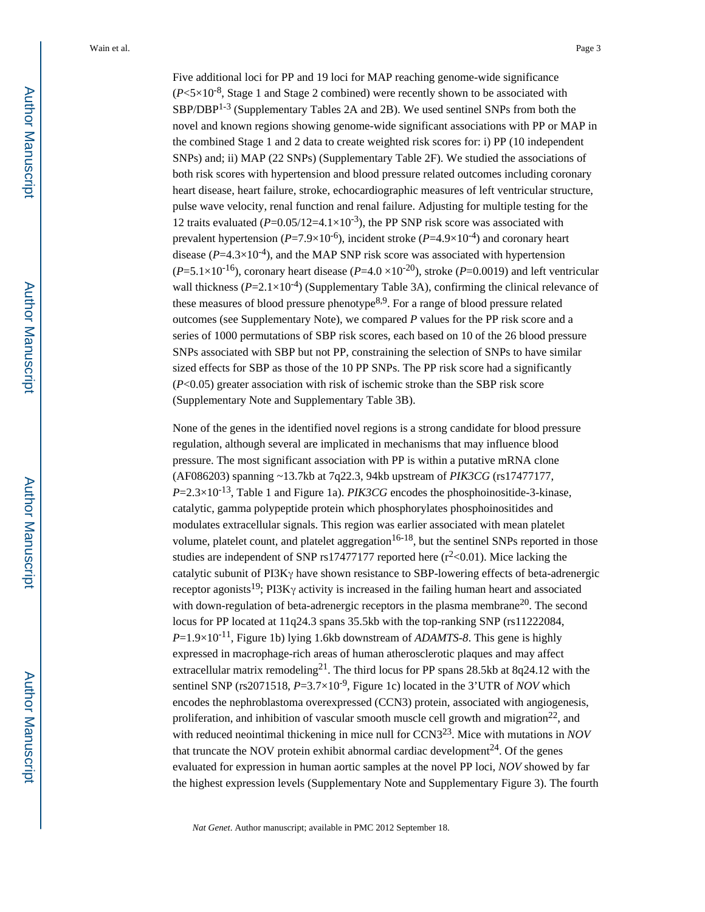Five additional loci for PP and 19 loci for MAP reaching genome-wide significance  $(P<5\times10^{-8}$ , Stage 1 and Stage 2 combined) were recently shown to be associated with SBP/DBP<sup>1-3</sup> (Supplementary Tables 2A and 2B). We used sentinel SNPs from both the novel and known regions showing genome-wide significant associations with PP or MAP in the combined Stage 1 and 2 data to create weighted risk scores for: i) PP (10 independent SNPs) and; ii) MAP (22 SNPs) (Supplementary Table 2F). We studied the associations of both risk scores with hypertension and blood pressure related outcomes including coronary heart disease, heart failure, stroke, echocardiographic measures of left ventricular structure, pulse wave velocity, renal function and renal failure. Adjusting for multiple testing for the 12 traits evaluated  $(P=0.05/12=4.1\times10^{-3})$ , the PP SNP risk score was associated with prevalent hypertension (*P*=7.9×10-6), incident stroke (*P*=4.9×10-4) and coronary heart disease  $(P=4.3\times10^{-4})$ , and the MAP SNP risk score was associated with hypertension  $(P=5.1\times10^{-16})$ , coronary heart disease  $(P=4.0\times10^{-20})$ , stroke  $(P=0.0019)$  and left ventricular wall thickness  $(P=2.1\times10^{-4})$  (Supplementary Table 3A), confirming the clinical relevance of these measures of blood pressure phenotype<sup>8,9</sup>. For a range of blood pressure related outcomes (see Supplementary Note), we compared *P* values for the PP risk score and a series of 1000 permutations of SBP risk scores, each based on 10 of the 26 blood pressure SNPs associated with SBP but not PP, constraining the selection of SNPs to have similar sized effects for SBP as those of the 10 PP SNPs. The PP risk score had a significantly (*P*<0.05) greater association with risk of ischemic stroke than the SBP risk score (Supplementary Note and Supplementary Table 3B).

None of the genes in the identified novel regions is a strong candidate for blood pressure regulation, although several are implicated in mechanisms that may influence blood pressure. The most significant association with PP is within a putative mRNA clone (AF086203) spanning ~13.7kb at 7q22.3, 94kb upstream of *PIK3CG* (rs17477177, *P*=2.3×10-13, Table 1 and Figure 1a). *PIK3CG* encodes the phosphoinositide-3-kinase, catalytic, gamma polypeptide protein which phosphorylates phosphoinositides and modulates extracellular signals. This region was earlier associated with mean platelet volume, platelet count, and platelet aggregation<sup>16-18</sup>, but the sentinel SNPs reported in those studies are independent of SNP rs17477177 reported here  $(r^2<0.01)$ . Mice lacking the catalytic subunit of PI3Kγ have shown resistance to SBP-lowering effects of beta-adrenergic receptor agonists<sup>19</sup>; PI3K<sub>Y</sub> activity is increased in the failing human heart and associated with down-regulation of beta-adrenergic receptors in the plasma membrane<sup>20</sup>. The second locus for PP located at 11q24.3 spans 35.5kb with the top-ranking SNP (rs11222084, *P*=1.9×10-11, Figure 1b) lying 1.6kb downstream of *ADAMTS-8*. This gene is highly expressed in macrophage-rich areas of human atherosclerotic plaques and may affect extracellular matrix remodeling<sup>21</sup>. The third locus for PP spans 28.5kb at 8q24.12 with the sentinel SNP ( $rs2071518$ ,  $P=3.7\times10^{-9}$ , Figure 1c) located in the 3'UTR of *NOV* which encodes the nephroblastoma overexpressed (CCN3) protein, associated with angiogenesis, proliferation, and inhibition of vascular smooth muscle cell growth and migration<sup>22</sup>, and with reduced neointimal thickening in mice null for CCN3<sup>23</sup>. Mice with mutations in *NOV* that truncate the NOV protein exhibit abnormal cardiac development $^{24}$ . Of the genes evaluated for expression in human aortic samples at the novel PP loci, *NOV* showed by far the highest expression levels (Supplementary Note and Supplementary Figure 3). The fourth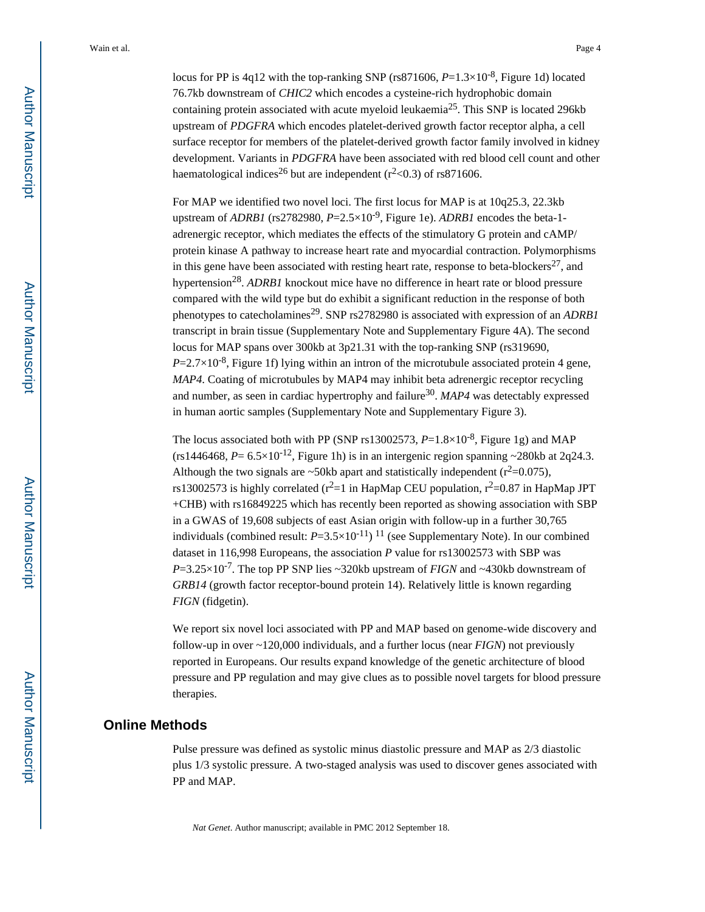locus for PP is 4q12 with the top-ranking SNP ( $rs871606$ ,  $P=1.3\times10^{-8}$ , Figure 1d) located 76.7kb downstream of *CHIC2* which encodes a cysteine-rich hydrophobic domain containing protein associated with acute myeloid leukaemia<sup>25</sup>. This SNP is located 296kb upstream of *PDGFRA* which encodes platelet-derived growth factor receptor alpha, a cell surface receptor for members of the platelet-derived growth factor family involved in kidney development. Variants in *PDGFRA* have been associated with red blood cell count and other haematological indices<sup>26</sup> but are independent ( $r^2$  < 0.3) of rs871606.

For MAP we identified two novel loci. The first locus for MAP is at 10q25.3, 22.3kb upstream of *ADRB1* (rs2782980, *P*=2.5×10-9, Figure 1e). *ADRB1* encodes the beta-1 adrenergic receptor, which mediates the effects of the stimulatory G protein and cAMP/ protein kinase A pathway to increase heart rate and myocardial contraction. Polymorphisms in this gene have been associated with resting heart rate, response to beta-blockers<sup>27</sup>, and hypertension<sup>28</sup>. *ADRB1* knockout mice have no difference in heart rate or blood pressure compared with the wild type but do exhibit a significant reduction in the response of both phenotypes to catecholamines<sup>29</sup>. SNP rs2782980 is associated with expression of an *ADRB1* transcript in brain tissue (Supplementary Note and Supplementary Figure 4A). The second locus for MAP spans over 300kb at 3p21.31 with the top-ranking SNP (rs319690,  $P=2.7\times10^{-8}$ , Figure 1f) lying within an intron of the microtubule associated protein 4 gene, *MAP4*. Coating of microtubules by MAP4 may inhibit beta adrenergic receptor recycling and number, as seen in cardiac hypertrophy and failure<sup>30</sup>. MAP4 was detectably expressed in human aortic samples (Supplementary Note and Supplementary Figure 3).

The locus associated both with PP (SNP rs13002573,  $P=1.8\times10^{-8}$ , Figure 1g) and MAP (rs1446468,  $P = 6.5 \times 10^{-12}$ , Figure 1h) is in an intergenic region spanning ~280kb at 2q24.3. Although the two signals are ~50kb apart and statistically independent ( $r^2$ =0.075), rs13002573 is highly correlated ( $r^2$ =1 in HapMap CEU population,  $r^2$ =0.87 in HapMap JPT +CHB) with rs16849225 which has recently been reported as showing association with SBP in a GWAS of 19,608 subjects of east Asian origin with follow-up in a further 30,765 individuals (combined result:  $P=3.5\times10^{-11}$ ) <sup>11</sup> (see Supplementary Note). In our combined dataset in 116,998 Europeans, the association *P* value for rs13002573 with SBP was *P*=3.25×10-7. The top PP SNP lies ~320kb upstream of *FIGN* and ~430kb downstream of *GRB14* (growth factor receptor-bound protein 14). Relatively little is known regarding *FIGN* (fidgetin).

We report six novel loci associated with PP and MAP based on genome-wide discovery and follow-up in over ~120,000 individuals, and a further locus (near *FIGN*) not previously reported in Europeans. Our results expand knowledge of the genetic architecture of blood pressure and PP regulation and may give clues as to possible novel targets for blood pressure therapies.

# **Online Methods**

Pulse pressure was defined as systolic minus diastolic pressure and MAP as 2/3 diastolic plus 1/3 systolic pressure. A two-staged analysis was used to discover genes associated with PP and MAP.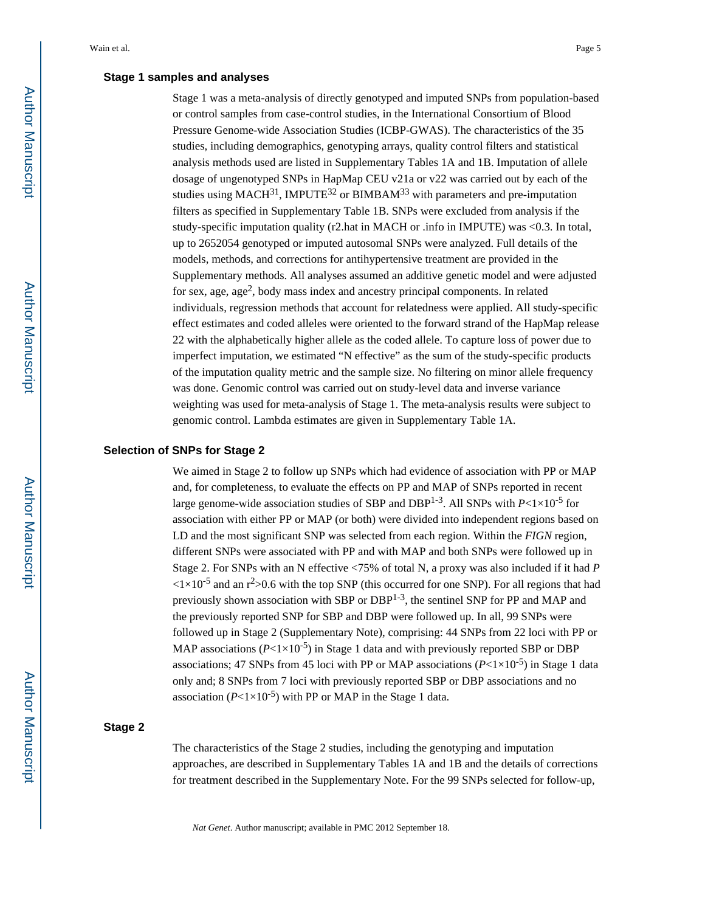#### **Stage 1 samples and analyses**

Stage 1 was a meta-analysis of directly genotyped and imputed SNPs from population-based or control samples from case-control studies, in the International Consortium of Blood Pressure Genome-wide Association Studies (ICBP-GWAS). The characteristics of the 35 studies, including demographics, genotyping arrays, quality control filters and statistical analysis methods used are listed in Supplementary Tables 1A and 1B. Imputation of allele dosage of ungenotyped SNPs in HapMap CEU v21a or v22 was carried out by each of the studies using MACH<sup>31</sup>, IMPUTE<sup>32</sup> or BIMBAM<sup>33</sup> with parameters and pre-imputation filters as specified in Supplementary Table 1B. SNPs were excluded from analysis if the study-specific imputation quality (r2.hat in MACH or .info in IMPUTE) was <0.3. In total, up to 2652054 genotyped or imputed autosomal SNPs were analyzed. Full details of the models, methods, and corrections for antihypertensive treatment are provided in the Supplementary methods. All analyses assumed an additive genetic model and were adjusted for sex, age, age<sup>2</sup>, body mass index and ancestry principal components. In related individuals, regression methods that account for relatedness were applied. All study-specific effect estimates and coded alleles were oriented to the forward strand of the HapMap release 22 with the alphabetically higher allele as the coded allele. To capture loss of power due to imperfect imputation, we estimated "N effective" as the sum of the study-specific products of the imputation quality metric and the sample size. No filtering on minor allele frequency was done. Genomic control was carried out on study-level data and inverse variance weighting was used for meta-analysis of Stage 1. The meta-analysis results were subject to genomic control. Lambda estimates are given in Supplementary Table 1A.

#### **Selection of SNPs for Stage 2**

We aimed in Stage 2 to follow up SNPs which had evidence of association with PP or MAP and, for completeness, to evaluate the effects on PP and MAP of SNPs reported in recent large genome-wide association studies of SBP and DBP<sup>1-3</sup>. All SNPs with  $P<1\times10^{-5}$  for association with either PP or MAP (or both) were divided into independent regions based on LD and the most significant SNP was selected from each region. Within the *FIGN* region, different SNPs were associated with PP and with MAP and both SNPs were followed up in Stage 2. For SNPs with an N effective <75% of total N, a proxy was also included if it had *P*   $\langle 1 \times 10^{-5}$  and an r<sup>2</sup> $> 0.6$  with the top SNP (this occurred for one SNP). For all regions that had previously shown association with SBP or DBP<sup>1-3</sup>, the sentinel SNP for PP and MAP and the previously reported SNP for SBP and DBP were followed up. In all, 99 SNPs were followed up in Stage 2 (Supplementary Note), comprising: 44 SNPs from 22 loci with PP or MAP associations  $(P<1\times10^{-5})$  in Stage 1 data and with previously reported SBP or DBP associations; 47 SNPs from 45 loci with PP or MAP associations (*P*<1×10-5) in Stage 1 data only and; 8 SNPs from 7 loci with previously reported SBP or DBP associations and no association  $(P<1\times10^{-5})$  with PP or MAP in the Stage 1 data.

#### **Stage 2**

The characteristics of the Stage 2 studies, including the genotyping and imputation approaches, are described in Supplementary Tables 1A and 1B and the details of corrections for treatment described in the Supplementary Note. For the 99 SNPs selected for follow-up,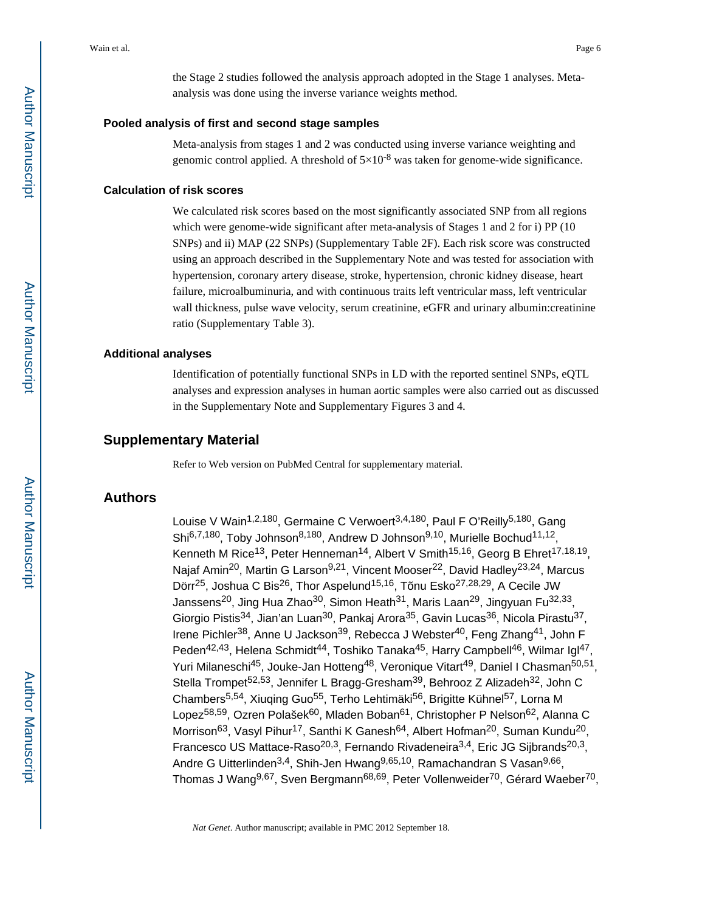the Stage 2 studies followed the analysis approach adopted in the Stage 1 analyses. Metaanalysis was done using the inverse variance weights method.

#### **Pooled analysis of first and second stage samples**

Meta-analysis from stages 1 and 2 was conducted using inverse variance weighting and genomic control applied. A threshold of  $5\times10^{-8}$  was taken for genome-wide significance.

#### **Calculation of risk scores**

We calculated risk scores based on the most significantly associated SNP from all regions which were genome-wide significant after meta-analysis of Stages 1 and 2 for i) PP (10 SNPs) and ii) MAP (22 SNPs) (Supplementary Table 2F). Each risk score was constructed using an approach described in the Supplementary Note and was tested for association with hypertension, coronary artery disease, stroke, hypertension, chronic kidney disease, heart failure, microalbuminuria, and with continuous traits left ventricular mass, left ventricular wall thickness, pulse wave velocity, serum creatinine, eGFR and urinary albumin:creatinine ratio (Supplementary Table 3).

#### **Additional analyses**

Identification of potentially functional SNPs in LD with the reported sentinel SNPs, eQTL analyses and expression analyses in human aortic samples were also carried out as discussed in the Supplementary Note and Supplementary Figures 3 and 4.

#### **Supplementary Material**

Refer to Web version on PubMed Central for supplementary material.

#### **Authors**

Louise V Wain<sup>1,2,180</sup>, Germaine C Verwoert<sup>3,4,180</sup>, Paul F O'Reilly<sup>5,180</sup>, Gang Shi<sup>6,7,180</sup>, Toby Johnson<sup>8,180</sup>, Andrew D Johnson<sup>9,10</sup>, Murielle Bochud<sup>11,12</sup>, Kenneth M Rice<sup>13</sup>, Peter Henneman<sup>14</sup>, Albert V Smith<sup>15,16</sup>, Georg B Ehret<sup>17,18,19</sup>, Najaf Amin<sup>20</sup>, Martin G Larson<sup>9,21</sup>, Vincent Mooser<sup>22</sup>, David Hadley<sup>23,24</sup>, Marcus Dörr<sup>25</sup>, Joshua C Bis<sup>26</sup>, Thor Aspelund<sup>15,16</sup>, Tõnu Esko<sup>27,28,29</sup>, A Cecile JW Janssens<sup>20</sup>, Jing Hua Zhao<sup>30</sup>, Simon Heath<sup>31</sup>, Maris Laan<sup>29</sup>, Jingyuan Fu<sup>32,33</sup>, Giorgio Pistis<sup>34</sup>, Jian'an Luan<sup>30</sup>, Pankaj Arora<sup>35</sup>, Gavin Lucas<sup>36</sup>, Nicola Pirastu<sup>37</sup>, Irene Pichler<sup>38</sup>, Anne U Jackson<sup>39</sup>, Rebecca J Webster<sup>40</sup>, Feng Zhang<sup>41</sup>, John F Peden<sup>42,43</sup>, Helena Schmidt<sup>44</sup>, Toshiko Tanaka<sup>45</sup>, Harry Campbell<sup>46</sup>, Wilmar Igl<sup>47</sup>, Yuri Milaneschi<sup>45</sup>, Jouke-Jan Hotteng<sup>48</sup>, Veronique Vitart<sup>49</sup>, Daniel I Chasman<sup>50,51</sup>, Stella Trompet<sup>52,53</sup>, Jennifer L Bragg-Gresham<sup>39</sup>, Behrooz Z Alizadeh<sup>32</sup>, John C Chambers<sup>5,54</sup>, Xiuqing Guo<sup>55</sup>, Terho Lehtimäki<sup>56</sup>, Brigitte Kühnel<sup>57</sup>, Lorna M Lopez<sup>58,59</sup>, Ozren Polašek<sup>60</sup>, Mladen Boban<sup>61</sup>, Christopher P Nelson<sup>62</sup>, Alanna C Morrison<sup>63</sup>, Vasyl Pihur<sup>17</sup>, Santhi K Ganesh<sup>64</sup>, Albert Hofman<sup>20</sup>, Suman Kundu<sup>20</sup>, Francesco US Mattace-Raso<sup>20,3</sup>, Fernando Rivadeneira<sup>3,4</sup>, Eric JG Sijbrands<sup>20,3</sup>, Andre G Uitterlinden<sup>3,4</sup>, Shih-Jen Hwang<sup>9,65,10</sup>, Ramachandran S Vasan<sup>9,66</sup>, Thomas J Wang<sup>9,67</sup>, Sven Bergmann<sup>68,69</sup>, Peter Vollenweider<sup>70</sup>, Gérard Waeber<sup>70</sup>,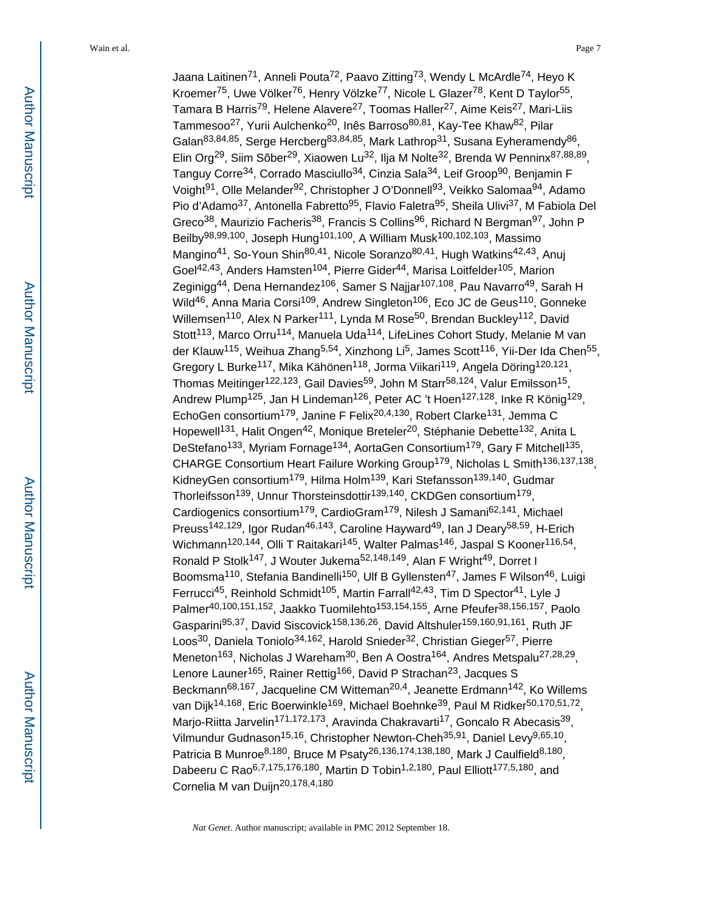Jaana Laitinen<sup>71</sup>, Anneli Pouta<sup>72</sup>, Paavo Zitting<sup>73</sup>, Wendy L McArdle<sup>74</sup>, Heyo K Kroemer<sup>75</sup>, Uwe Völker<sup>76</sup>, Henry Völzke<sup>77</sup>, Nicole L Glazer<sup>78</sup>, Kent D Taylor<sup>55</sup>, Tamara B Harris<sup>79</sup>, Helene Alavere<sup>27</sup>, Toomas Haller<sup>27</sup>, Aime Keis<sup>27</sup>, Mari-Liis Tammesoo<sup>27</sup>, Yurii Aulchenko<sup>20</sup>, Inês Barroso<sup>80,81</sup>, Kay-Tee Khaw<sup>82</sup>, Pilar Galan<sup>83,84,85</sup>, Serge Hercberg<sup>83,84,85</sup>, Mark Lathrop<sup>31</sup>, Susana Eyheramendy<sup>86</sup>, Elin Org<sup>29</sup>, Siim Sõber<sup>29</sup>, Xiaowen Lu<sup>32</sup>, Ilja M Nolte<sup>32</sup>, Brenda W Penninx<sup>87,88,89</sup>, Tanguy Corre<sup>34</sup>, Corrado Masciullo<sup>34</sup>, Cinzia Sala<sup>34</sup>, Leif Groop<sup>90</sup>, Beniamin F Voight<sup>91</sup>, Olle Melander<sup>92</sup>, Christopher J O'Donnell<sup>93</sup>, Veikko Salomaa<sup>94</sup>, Adamo Pio d'Adamo<sup>37</sup>, Antonella Fabretto<sup>95</sup>, Flavio Faletra<sup>95</sup>, Sheila Ulivi<sup>37</sup>, M Fabiola Del Greco<sup>38</sup>, Maurizio Facheris<sup>38</sup>, Francis S Collins<sup>96</sup>, Richard N Bergman<sup>97</sup>, John P Beilby98,99,100, Joseph Hung101,100, A William Musk100,102,103, Massimo Mangino<sup>41</sup>, So-Youn Shin<sup>80,41</sup>, Nicole Soranzo<sup>80,41</sup>, Hugh Watkins<sup>42,43</sup>, Anuj Goel<sup>42,43</sup>, Anders Hamsten<sup>104</sup>, Pierre Gider<sup>44</sup>, Marisa Loitfelder<sup>105</sup>, Marion Zeginigg<sup>44</sup>, Dena Hernandez<sup>106</sup>, Samer S Najjar<sup>107,108</sup>, Pau Navarro<sup>49</sup>, Sarah H Wild<sup>46</sup>, Anna Maria Corsi<sup>109</sup>, Andrew Singleton<sup>106</sup>, Eco JC de Geus<sup>110</sup>, Gonneke Willemsen<sup>110</sup>, Alex N Parker<sup>111</sup>, Lynda M Rose<sup>50</sup>, Brendan Buckley<sup>112</sup>, David Stott<sup>113</sup>, Marco Orru<sup>114</sup>, Manuela Uda<sup>114</sup>, LifeLines Cohort Study, Melanie M van der Klauw<sup>115</sup>, Weihua Zhang<sup>5,54</sup>, Xinzhong Li<sup>5</sup>, James Scott<sup>116</sup>, Yii-Der Ida Chen<sup>55</sup>, Gregory L Burke<sup>117</sup>, Mika Kähönen<sup>118</sup>, Jorma Viikari<sup>119</sup>, Angela Döring<sup>120,121</sup>, Thomas Meitinger<sup>122,123</sup>, Gail Davies<sup>59</sup>, John M Starr<sup>58,124</sup>, Valur Emilsson<sup>15</sup>, Andrew Plump<sup>125</sup>, Jan H Lindeman<sup>126</sup>, Peter AC 't Hoen<sup>127,128</sup>, Inke R König<sup>129</sup>, EchoGen consortium<sup>179</sup>, Janine F Felix<sup>20,4,130</sup>, Robert Clarke<sup>131</sup>, Jemma C Hopewell<sup>131</sup>, Halit Ongen<sup>42</sup>, Monique Breteler<sup>20</sup>, Stéphanie Debette<sup>132</sup>, Anita L DeStefano<sup>133</sup>, Myriam Fornage<sup>134</sup>, AortaGen Consortium<sup>179</sup>, Gary F Mitchell<sup>135</sup>, CHARGE Consortium Heart Failure Working Group<sup>179</sup>, Nicholas L Smith<sup>136,137,138</sup>, KidneyGen consortium<sup>179</sup>, Hilma Holm<sup>139</sup>, Kari Stefansson<sup>139,140</sup>, Gudmar Thorleifsson<sup>139</sup>, Unnur Thorsteinsdottir<sup>139,140</sup>, CKDGen consortium<sup>179</sup>, Cardiogenics consortium<sup>179</sup>, CardioGram<sup>179</sup>, Nilesh J Samani<sup>62,141</sup>, Michael Preuss<sup>142,129</sup>, Igor Rudan<sup>46,143</sup>, Caroline Hayward<sup>49</sup>, Ian J Deary<sup>58,59</sup>, H-Erich Wichmann<sup>120,144</sup>, Olli T Raitakari<sup>145</sup>, Walter Palmas<sup>146</sup>, Jaspal S Kooner<sup>116,54</sup>, Ronald P Stolk<sup>147</sup>, J Wouter Jukema<sup>52,148,149</sup>, Alan F Wright<sup>49</sup>, Dorret I Boomsma<sup>110</sup>, Stefania Bandinelli<sup>150</sup>, Ulf B Gyllensten<sup>47</sup>, James F Wilson<sup>46</sup>, Luigi Ferrucci<sup>45</sup>, Reinhold Schmidt<sup>105</sup>, Martin Farrall<sup>42,43</sup>, Tim D Spector<sup>41</sup>, Lyle J Palmer<sup>40,100,151,152</sup>, Jaakko Tuomilehto<sup>153,154,155</sup>, Arne Pfeufer<sup>38,156,157</sup>, Paolo Gasparini<sup>95,37</sup>, David Siscovick<sup>158,136,26</sup>, David Altshuler<sup>159,160,91,161</sup>, Ruth JF Loos<sup>30</sup>, Daniela Toniolo<sup>34,162</sup>, Harold Snieder<sup>32</sup>, Christian Gieger<sup>57</sup>, Pierre Meneton<sup>163</sup>, Nicholas J Wareham<sup>30</sup>, Ben A Oostra<sup>164</sup>, Andres Metspalu<sup>27,28,29</sup>, Lenore Launer<sup>165</sup>, Rainer Rettig<sup>166</sup>, David P Strachan<sup>23</sup>, Jacques S Beckmann<sup>68,167</sup>, Jacqueline CM Witteman<sup>20,4</sup>, Jeanette Erdmann<sup>142</sup>, Ko Willems van Dijk<sup>14,168</sup>, Eric Boerwinkle<sup>169</sup>, Michael Boehnke<sup>39</sup>, Paul M Ridker<sup>50,170,51,72</sup>, Marjo-Riitta Jarvelin<sup>171,172,173</sup>, Aravinda Chakravarti<sup>17</sup>, Goncalo R Abecasis<sup>39</sup>, Vilmundur Gudnason<sup>15,16</sup>, Christopher Newton-Cheh<sup>35,91</sup>, Daniel Levy<sup>9,65,10</sup>, Patricia B Munroe<sup>8,180</sup>, Bruce M Psaty<sup>26,136,174,138,180</sup>, Mark J Caulfield<sup>8,180</sup>, Dabeeru C Rao<sup>6,7,175,176,180</sup>, Martin D Tobin<sup>1,2,180</sup>, Paul Elliott<sup>177,5,180</sup>, and Cornelia M van Duijn20,178,4,180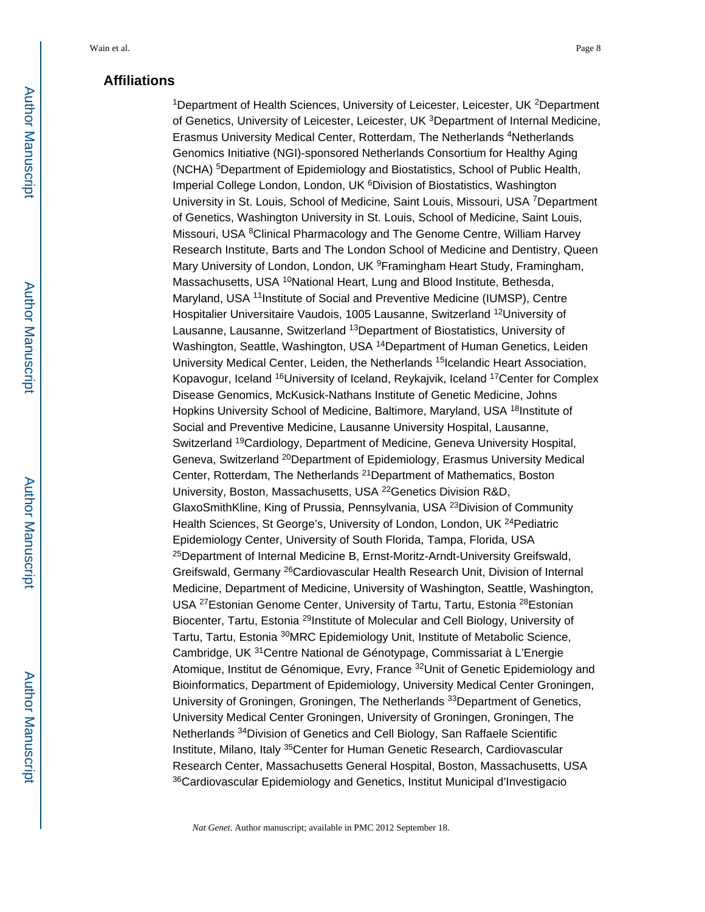# **Affiliations**

<sup>1</sup>Department of Health Sciences, University of Leicester, Leicester, UK <sup>2</sup>Department of Genetics, University of Leicester, Leicester, UK <sup>3</sup>Department of Internal Medicine, Erasmus University Medical Center, Rotterdam, The Netherlands <sup>4</sup>Netherlands Genomics Initiative (NGI)-sponsored Netherlands Consortium for Healthy Aging (NCHA) <sup>5</sup>Department of Epidemiology and Biostatistics, School of Public Health, Imperial College London, London, UK <sup>6</sup>Division of Biostatistics, Washington University in St. Louis, School of Medicine, Saint Louis, Missouri, USA <sup>7</sup>Department of Genetics, Washington University in St. Louis, School of Medicine, Saint Louis, Missouri, USA <sup>8</sup>Clinical Pharmacology and The Genome Centre, William Harvey Research Institute, Barts and The London School of Medicine and Dentistry, Queen Mary University of London, London, UK <sup>9</sup>Framingham Heart Study, Framingham, Massachusetts, USA <sup>10</sup>National Heart, Lung and Blood Institute, Bethesda, Maryland, USA <sup>11</sup>Institute of Social and Preventive Medicine (IUMSP), Centre Hospitalier Universitaire Vaudois, 1005 Lausanne, Switzerland <sup>12</sup>University of Lausanne, Lausanne, Switzerland <sup>13</sup>Department of Biostatistics, University of Washington, Seattle, Washington, USA <sup>14</sup>Department of Human Genetics, Leiden University Medical Center, Leiden, the Netherlands <sup>15</sup>Icelandic Heart Association, Kopavogur, Iceland <sup>16</sup>University of Iceland, Reykajvik, Iceland <sup>17</sup>Center for Complex Disease Genomics, McKusick-Nathans Institute of Genetic Medicine, Johns Hopkins University School of Medicine, Baltimore, Maryland, USA <sup>18</sup>Institute of Social and Preventive Medicine, Lausanne University Hospital, Lausanne, Switzerland <sup>19</sup>Cardiology, Department of Medicine, Geneva University Hospital, Geneva, Switzerland <sup>20</sup>Department of Epidemiology, Erasmus University Medical Center, Rotterdam, The Netherlands <sup>21</sup>Department of Mathematics, Boston University, Boston, Massachusetts, USA <sup>22</sup>Genetics Division R&D, GlaxoSmithKline, King of Prussia, Pennsylvania, USA <sup>23</sup>Division of Community Health Sciences, St George's, University of London, London, UK<sup>24</sup>Pediatric Epidemiology Center, University of South Florida, Tampa, Florida, USA <sup>25</sup>Department of Internal Medicine B, Ernst-Moritz-Arndt-University Greifswald, Greifswald, Germany <sup>26</sup>Cardiovascular Health Research Unit, Division of Internal Medicine, Department of Medicine, University of Washington, Seattle, Washington, USA <sup>27</sup>Estonian Genome Center, University of Tartu, Tartu, Estonia <sup>28</sup>Estonian Biocenter, Tartu, Estonia <sup>29</sup>Institute of Molecular and Cell Biology, University of Tartu, Tartu, Estonia <sup>30</sup>MRC Epidemiology Unit, Institute of Metabolic Science, Cambridge, UK <sup>31</sup>Centre National de Génotypage, Commissariat à L'Energie Atomique, Institut de Génomique, Evry, France <sup>32</sup>Unit of Genetic Epidemiology and Bioinformatics, Department of Epidemiology, University Medical Center Groningen, University of Groningen, Groningen, The Netherlands <sup>33</sup>Department of Genetics, University Medical Center Groningen, University of Groningen, Groningen, The Netherlands <sup>34</sup>Division of Genetics and Cell Biology, San Raffaele Scientific Institute, Milano, Italy <sup>35</sup>Center for Human Genetic Research, Cardiovascular Research Center, Massachusetts General Hospital, Boston, Massachusetts, USA <sup>36</sup>Cardiovascular Epidemiology and Genetics, Institut Municipal d'Investigacio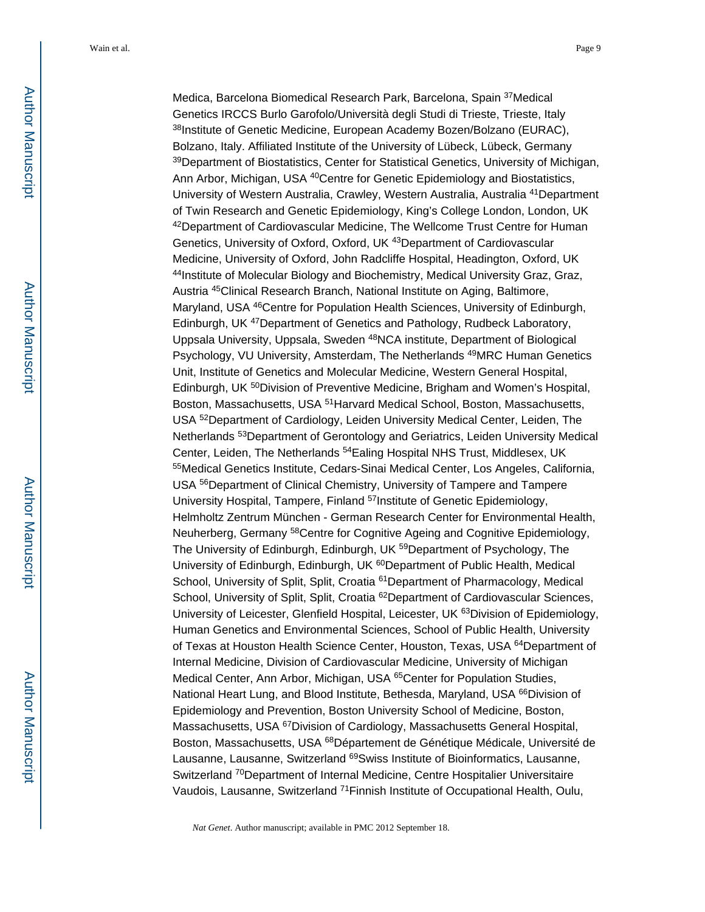Medica, Barcelona Biomedical Research Park, Barcelona, Spain <sup>37</sup>Medical Genetics IRCCS Burlo Garofolo/Università degli Studi di Trieste, Trieste, Italy <sup>38</sup>Institute of Genetic Medicine, European Academy Bozen/Bolzano (EURAC), Bolzano, Italy. Affiliated Institute of the University of Lübeck, Lübeck, Germany <sup>39</sup>Department of Biostatistics, Center for Statistical Genetics, University of Michigan, Ann Arbor, Michigan, USA <sup>40</sup>Centre for Genetic Epidemiology and Biostatistics, University of Western Australia, Crawley, Western Australia, Australia <sup>41</sup>Department of Twin Research and Genetic Epidemiology, King's College London, London, UK <sup>42</sup>Department of Cardiovascular Medicine, The Wellcome Trust Centre for Human Genetics, University of Oxford, Oxford, UK <sup>43</sup>Department of Cardiovascular Medicine, University of Oxford, John Radcliffe Hospital, Headington, Oxford, UK <sup>44</sup>Institute of Molecular Biology and Biochemistry, Medical University Graz, Graz, Austria <sup>45</sup>Clinical Research Branch, National Institute on Aging, Baltimore, Maryland, USA <sup>46</sup>Centre for Population Health Sciences, University of Edinburgh, Edinburgh, UK 47Department of Genetics and Pathology, Rudbeck Laboratory, Uppsala University, Uppsala, Sweden <sup>48</sup>NCA institute, Department of Biological Psychology, VU University, Amsterdam, The Netherlands <sup>49</sup>MRC Human Genetics Unit, Institute of Genetics and Molecular Medicine, Western General Hospital, Edinburgh, UK <sup>50</sup>Division of Preventive Medicine, Brigham and Women's Hospital, Boston, Massachusetts, USA <sup>51</sup>Harvard Medical School, Boston, Massachusetts, USA <sup>52</sup>Department of Cardiology, Leiden University Medical Center, Leiden, The Netherlands <sup>53</sup>Department of Gerontology and Geriatrics, Leiden University Medical Center, Leiden, The Netherlands <sup>54</sup>Ealing Hospital NHS Trust, Middlesex, UK <sup>55</sup>Medical Genetics Institute, Cedars-Sinai Medical Center, Los Angeles, California, USA <sup>56</sup>Department of Clinical Chemistry, University of Tampere and Tampere University Hospital, Tampere, Finland <sup>57</sup>Institute of Genetic Epidemiology, Helmholtz Zentrum München - German Research Center for Environmental Health, Neuherberg, Germany <sup>58</sup>Centre for Cognitive Ageing and Cognitive Epidemiology, The University of Edinburgh, Edinburgh, UK <sup>59</sup>Department of Psychology, The University of Edinburgh, Edinburgh, UK <sup>60</sup>Department of Public Health, Medical School, University of Split, Split, Croatia <sup>61</sup>Department of Pharmacology, Medical School, University of Split, Split, Croatia <sup>62</sup>Department of Cardiovascular Sciences, University of Leicester, Glenfield Hospital, Leicester, UK <sup>63</sup>Division of Epidemiology, Human Genetics and Environmental Sciences, School of Public Health, University of Texas at Houston Health Science Center, Houston, Texas, USA <sup>64</sup>Department of Internal Medicine, Division of Cardiovascular Medicine, University of Michigan Medical Center, Ann Arbor, Michigan, USA <sup>65</sup>Center for Population Studies, National Heart Lung, and Blood Institute, Bethesda, Maryland, USA 66Division of Epidemiology and Prevention, Boston University School of Medicine, Boston, Massachusetts, USA <sup>67</sup>Division of Cardiology, Massachusetts General Hospital, Boston, Massachusetts, USA <sup>68</sup>Département de Génétique Médicale, Université de Lausanne, Lausanne, Switzerland <sup>69</sup>Swiss Institute of Bioinformatics, Lausanne, Switzerland <sup>70</sup>Department of Internal Medicine, Centre Hospitalier Universitaire Vaudois, Lausanne, Switzerland <sup>71</sup>Finnish Institute of Occupational Health, Oulu,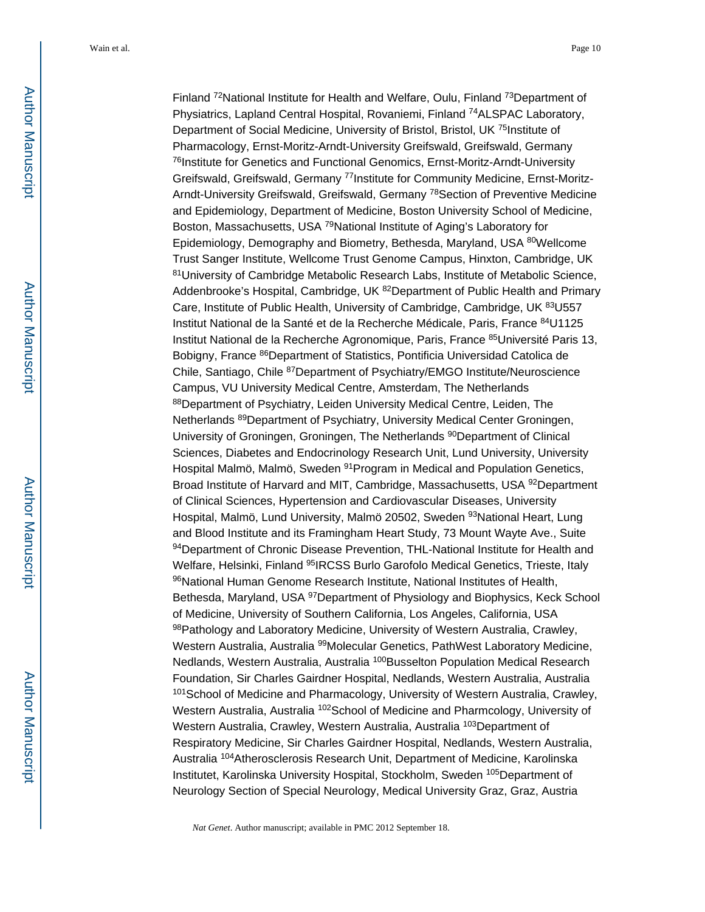Finland <sup>72</sup>National Institute for Health and Welfare, Oulu, Finland <sup>73</sup>Department of Physiatrics, Lapland Central Hospital, Rovaniemi, Finland <sup>74</sup>ALSPAC Laboratory, Department of Social Medicine, University of Bristol, Bristol, UK <sup>75</sup>Institute of Pharmacology, Ernst-Moritz-Arndt-University Greifswald, Greifswald, Germany <sup>76</sup>Institute for Genetics and Functional Genomics, Ernst-Moritz-Arndt-University Greifswald, Greifswald, Germany 77Institute for Community Medicine, Ernst-Moritz-Arndt-University Greifswald, Greifswald, Germany <sup>78</sup> Section of Preventive Medicine and Epidemiology, Department of Medicine, Boston University School of Medicine, Boston, Massachusetts, USA <sup>79</sup>National Institute of Aging's Laboratory for Epidemiology, Demography and Biometry, Bethesda, Maryland, USA 80Wellcome Trust Sanger Institute, Wellcome Trust Genome Campus, Hinxton, Cambridge, UK <sup>81</sup>University of Cambridge Metabolic Research Labs, Institute of Metabolic Science, Addenbrooke's Hospital, Cambridge, UK <sup>82</sup>Department of Public Health and Primary Care, Institute of Public Health, University of Cambridge, Cambridge, UK <sup>83</sup>U557 Institut National de la Santé et de la Recherche Médicale, Paris, France 84U1125 Institut National de la Recherche Agronomique, Paris, France <sup>85</sup>Université Paris 13, Bobigny, France <sup>86</sup>Department of Statistics, Pontificia Universidad Catolica de Chile, Santiago, Chile <sup>87</sup>Department of Psychiatry/EMGO Institute/Neuroscience Campus, VU University Medical Centre, Amsterdam, The Netherlands 88Department of Psychiatry, Leiden University Medical Centre, Leiden, The Netherlands <sup>89</sup>Department of Psychiatry, University Medical Center Groningen, University of Groningen, Groningen, The Netherlands <sup>90</sup>Department of Clinical Sciences, Diabetes and Endocrinology Research Unit, Lund University, University Hospital Malmö, Malmö, Sweden <sup>91</sup> Program in Medical and Population Genetics, Broad Institute of Harvard and MIT, Cambridge, Massachusetts, USA <sup>92</sup>Department of Clinical Sciences, Hypertension and Cardiovascular Diseases, University Hospital, Malmö, Lund University, Malmö 20502, Sweden <sup>93</sup>National Heart, Lung and Blood Institute and its Framingham Heart Study, 73 Mount Wayte Ave., Suite <sup>94</sup>Department of Chronic Disease Prevention, THL-National Institute for Health and Welfare, Helsinki, Finland <sup>95</sup>IRCSS Burlo Garofolo Medical Genetics, Trieste, Italy 96National Human Genome Research Institute, National Institutes of Health, Bethesda, Maryland, USA <sup>97</sup>Department of Physiology and Biophysics, Keck School of Medicine, University of Southern California, Los Angeles, California, USA 98Pathology and Laboratory Medicine, University of Western Australia, Crawley, Western Australia, Australia <sup>99</sup>Molecular Genetics, PathWest Laboratory Medicine, Nedlands, Western Australia, Australia<sup>100</sup>Busselton Population Medical Research Foundation, Sir Charles Gairdner Hospital, Nedlands, Western Australia, Australia <sup>101</sup>School of Medicine and Pharmacology, University of Western Australia, Crawley, Western Australia, Australia <sup>102</sup>School of Medicine and Pharmcology, University of Western Australia, Crawley, Western Australia, Australia <sup>103</sup>Department of Respiratory Medicine, Sir Charles Gairdner Hospital, Nedlands, Western Australia, Australia <sup>104</sup>Atherosclerosis Research Unit, Department of Medicine, Karolinska Institutet, Karolinska University Hospital, Stockholm, Sweden <sup>105</sup>Department of Neurology Section of Special Neurology, Medical University Graz, Graz, Austria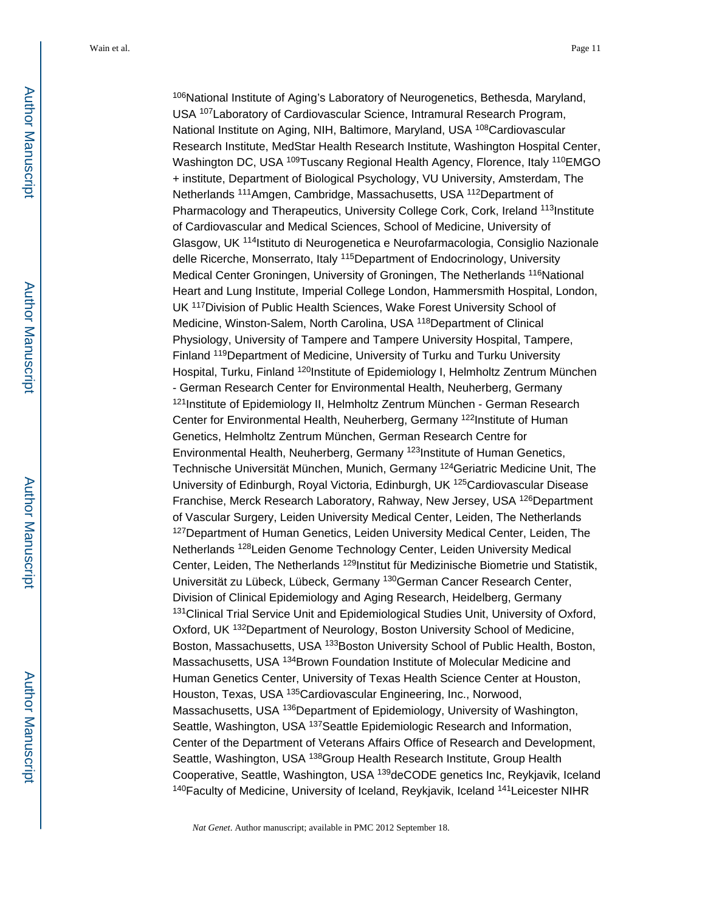<sup>106</sup>National Institute of Aging's Laboratory of Neurogenetics, Bethesda, Maryland, USA <sup>107</sup>Laboratory of Cardiovascular Science, Intramural Research Program, National Institute on Aging, NIH, Baltimore, Maryland, USA <sup>108</sup>Cardiovascular Research Institute, MedStar Health Research Institute, Washington Hospital Center, Washington DC, USA <sup>109</sup>Tuscany Regional Health Agency, Florence, Italy <sup>110</sup>EMGO + institute, Department of Biological Psychology, VU University, Amsterdam, The Netherlands <sup>111</sup>Amgen, Cambridge, Massachusetts, USA <sup>112</sup>Department of Pharmacology and Therapeutics, University College Cork, Cork, Ireland <sup>113</sup>Institute of Cardiovascular and Medical Sciences, School of Medicine, University of Glasgow, UK <sup>114</sup>Istituto di Neurogenetica e Neurofarmacologia, Consiglio Nazionale delle Ricerche, Monserrato, Italy <sup>115</sup>Department of Endocrinology, University Medical Center Groningen, University of Groningen, The Netherlands <sup>116</sup>National Heart and Lung Institute, Imperial College London, Hammersmith Hospital, London, UK <sup>117</sup>Division of Public Health Sciences, Wake Forest University School of Medicine, Winston-Salem, North Carolina, USA 118Department of Clinical Physiology, University of Tampere and Tampere University Hospital, Tampere, Finland <sup>119</sup>Department of Medicine, University of Turku and Turku University Hospital, Turku, Finland <sup>120</sup>Institute of Epidemiology I, Helmholtz Zentrum München - German Research Center for Environmental Health, Neuherberg, Germany

121 Institute of Epidemiology II, Helmholtz Zentrum München - German Research Center for Environmental Health, Neuherberg, Germany <sup>122</sup>Institute of Human Genetics, Helmholtz Zentrum München, German Research Centre for Environmental Health, Neuherberg, Germany <sup>123</sup>Institute of Human Genetics, Technische Universität München, Munich, Germany <sup>124</sup>Geriatric Medicine Unit, The University of Edinburgh, Royal Victoria, Edinburgh, UK <sup>125</sup>Cardiovascular Disease Franchise, Merck Research Laboratory, Rahway, New Jersey, USA <sup>126</sup>Department of Vascular Surgery, Leiden University Medical Center, Leiden, The Netherlands <sup>127</sup>Department of Human Genetics, Leiden University Medical Center, Leiden, The Netherlands <sup>128</sup>Leiden Genome Technology Center, Leiden University Medical Center, Leiden, The Netherlands <sup>129</sup>Institut für Medizinische Biometrie und Statistik, Universität zu Lübeck, Lübeck, Germany <sup>130</sup>German Cancer Research Center, Division of Clinical Epidemiology and Aging Research, Heidelberg, Germany <sup>131</sup>Clinical Trial Service Unit and Epidemiological Studies Unit, University of Oxford, Oxford, UK <sup>132</sup>Department of Neurology, Boston University School of Medicine, Boston, Massachusetts, USA <sup>133</sup>Boston University School of Public Health, Boston, Massachusetts, USA <sup>134</sup>Brown Foundation Institute of Molecular Medicine and Human Genetics Center, University of Texas Health Science Center at Houston, Houston, Texas, USA <sup>135</sup>Cardiovascular Engineering, Inc., Norwood, Massachusetts, USA <sup>136</sup>Department of Epidemiology, University of Washington, Seattle, Washington, USA <sup>137</sup>Seattle Epidemiologic Research and Information, Center of the Department of Veterans Affairs Office of Research and Development, Seattle, Washington, USA <sup>138</sup>Group Health Research Institute, Group Health Cooperative, Seattle, Washington, USA <sup>139</sup>deCODE genetics Inc, Reykjavik, Iceland 140Faculty of Medicine, University of Iceland, Reykjavik, Iceland <sup>141</sup>Leicester NIHR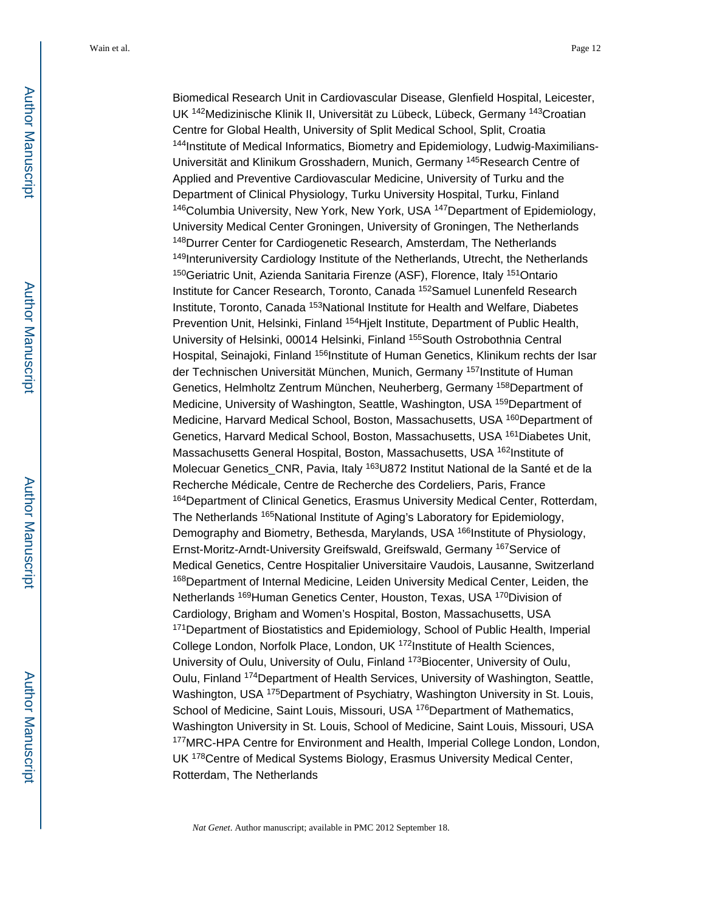Biomedical Research Unit in Cardiovascular Disease, Glenfield Hospital, Leicester, UK <sup>142</sup>Medizinische Klinik II, Universität zu Lübeck, Lübeck, Germany <sup>143</sup>Croatian Centre for Global Health, University of Split Medical School, Split, Croatia <sup>144</sup>Institute of Medical Informatics, Biometry and Epidemiology, Ludwig-Maximilians-Universität and Klinikum Grosshadern, Munich, Germany <sup>145</sup>Research Centre of Applied and Preventive Cardiovascular Medicine, University of Turku and the Department of Clinical Physiology, Turku University Hospital, Turku, Finland 146Columbia University, New York, New York, USA <sup>147</sup>Department of Epidemiology, University Medical Center Groningen, University of Groningen, The Netherlands <sup>148</sup>Durrer Center for Cardiogenetic Research, Amsterdam, The Netherlands 149Interuniversity Cardiology Institute of the Netherlands, Utrecht, the Netherlands <sup>150</sup>Geriatric Unit, Azienda Sanitaria Firenze (ASF), Florence, Italy <sup>151</sup>Ontario Institute for Cancer Research, Toronto, Canada <sup>152</sup>Samuel Lunenfeld Research Institute, Toronto, Canada <sup>153</sup>National Institute for Health and Welfare, Diabetes Prevention Unit, Helsinki, Finland 154Hjelt Institute, Department of Public Health, University of Helsinki, 00014 Helsinki, Finland <sup>155</sup>South Ostrobothnia Central Hospital, Seinajoki, Finland <sup>156</sup>Institute of Human Genetics, Klinikum rechts der Isar der Technischen Universität München, Munich, Germany <sup>157</sup>Institute of Human Genetics, Helmholtz Zentrum München, Neuherberg, Germany <sup>158</sup>Department of Medicine, University of Washington, Seattle, Washington, USA <sup>159</sup>Department of Medicine, Harvard Medical School, Boston, Massachusetts, USA <sup>160</sup>Department of Genetics, Harvard Medical School, Boston, Massachusetts, USA <sup>161</sup>Diabetes Unit, Massachusetts General Hospital, Boston, Massachusetts, USA <sup>162</sup>Institute of Molecuar Genetics\_CNR, Pavia, Italy <sup>163</sup>U872 Institut National de la Santé et de la Recherche Médicale, Centre de Recherche des Cordeliers, Paris, France <sup>164</sup>Department of Clinical Genetics, Erasmus University Medical Center, Rotterdam, The Netherlands <sup>165</sup>National Institute of Aging's Laboratory for Epidemiology, Demography and Biometry, Bethesda, Marylands, USA <sup>166</sup>Institute of Physiology, Ernst-Moritz-Arndt-University Greifswald, Greifswald, Germany <sup>167</sup>Service of Medical Genetics, Centre Hospitalier Universitaire Vaudois, Lausanne, Switzerland <sup>168</sup>Department of Internal Medicine, Leiden University Medical Center, Leiden, the Netherlands <sup>169</sup>Human Genetics Center, Houston, Texas, USA <sup>170</sup>Division of Cardiology, Brigham and Women's Hospital, Boston, Massachusetts, USA <sup>171</sup>Department of Biostatistics and Epidemiology, School of Public Health, Imperial College London, Norfolk Place, London, UK <sup>172</sup>Institute of Health Sciences, University of Oulu, University of Oulu, Finland <sup>173</sup>Biocenter, University of Oulu, Oulu, Finland <sup>174</sup>Department of Health Services, University of Washington, Seattle, Washington, USA <sup>175</sup>Department of Psychiatry, Washington University in St. Louis, School of Medicine, Saint Louis, Missouri, USA <sup>176</sup>Department of Mathematics, Washington University in St. Louis, School of Medicine, Saint Louis, Missouri, USA 177MRC-HPA Centre for Environment and Health, Imperial College London, London, UK <sup>178</sup>Centre of Medical Systems Biology, Erasmus University Medical Center, Rotterdam, The Netherlands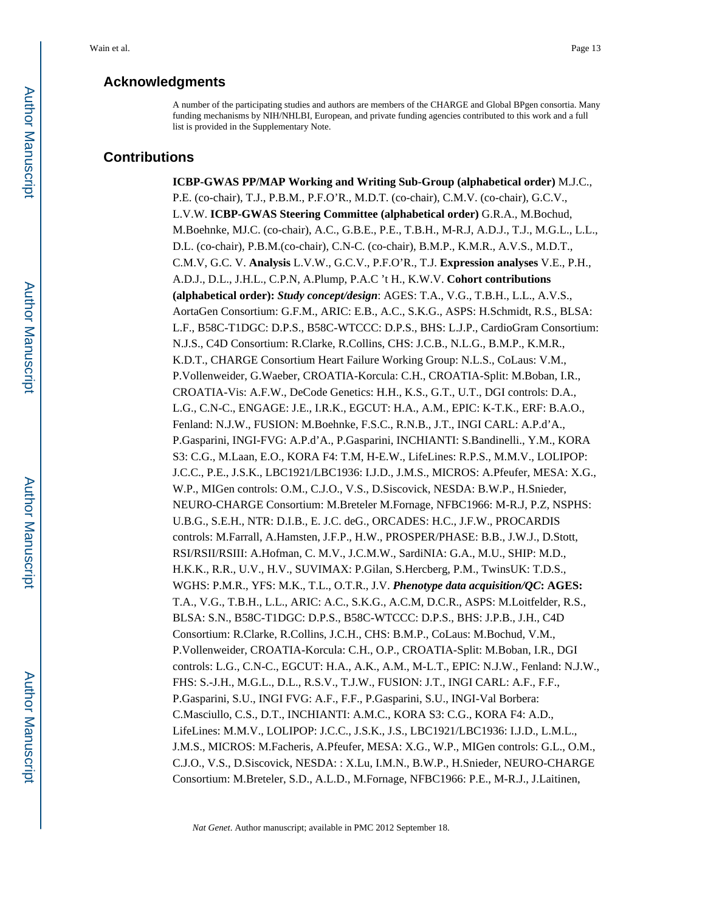### **Acknowledgments**

A number of the participating studies and authors are members of the CHARGE and Global BPgen consortia. Many funding mechanisms by NIH/NHLBI, European, and private funding agencies contributed to this work and a full list is provided in the Supplementary Note.

## **Contributions**

**ICBP-GWAS PP/MAP Working and Writing Sub-Group (alphabetical order)** M.J.C., P.E. (co-chair), T.J., P.B.M., P.F.O'R., M.D.T. (co-chair), C.M.V. (co-chair), G.C.V., L.V.W. **ICBP-GWAS Steering Committee (alphabetical order)** G.R.A., M.Bochud, M.Boehnke, MJ.C. (co-chair), A.C., G.B.E., P.E., T.B.H., M-R.J, A.D.J., T.J., M.G.L., L.L., D.L. (co-chair), P.B.M.(co-chair), C.N-C. (co-chair), B.M.P., K.M.R., A.V.S., M.D.T., C.M.V, G.C. V. **Analysis** L.V.W., G.C.V., P.F.O'R., T.J. **Expression analyses** V.E., P.H., A.D.J., D.L., J.H.L., C.P.N, A.Plump, P.A.C 't H., K.W.V. **Cohort contributions (alphabetical order):** *Study concept/design*: AGES: T.A., V.G., T.B.H., L.L., A.V.S., AortaGen Consortium: G.F.M., ARIC: E.B., A.C., S.K.G., ASPS: H.Schmidt, R.S., BLSA: L.F., B58C-T1DGC: D.P.S., B58C-WTCCC: D.P.S., BHS: L.J.P., CardioGram Consortium: N.J.S., C4D Consortium: R.Clarke, R.Collins, CHS: J.C.B., N.L.G., B.M.P., K.M.R., K.D.T., CHARGE Consortium Heart Failure Working Group: N.L.S., CoLaus: V.M., P.Vollenweider, G.Waeber, CROATIA-Korcula: C.H., CROATIA-Split: M.Boban, I.R., CROATIA-Vis: A.F.W., DeCode Genetics: H.H., K.S., G.T., U.T., DGI controls: D.A., L.G., C.N-C., ENGAGE: J.E., I.R.K., EGCUT: H.A., A.M., EPIC: K-T.K., ERF: B.A.O., Fenland: N.J.W., FUSION: M.Boehnke, F.S.C., R.N.B., J.T., INGI CARL: A.P.d'A., P.Gasparini, INGI-FVG: A.P.d'A., P.Gasparini, INCHIANTI: S.Bandinelli., Y.M., KORA S3: C.G., M.Laan, E.O., KORA F4: T.M, H-E.W., LifeLines: R.P.S., M.M.V., LOLIPOP: J.C.C., P.E., J.S.K., LBC1921/LBC1936: I.J.D., J.M.S., MICROS: A.Pfeufer, MESA: X.G., W.P., MIGen controls: O.M., C.J.O., V.S., D.Siscovick, NESDA: B.W.P., H.Snieder, NEURO-CHARGE Consortium: M.Breteler M.Fornage, NFBC1966: M-R.J, P.Z, NSPHS: U.B.G., S.E.H., NTR: D.I.B., E. J.C. deG., ORCADES: H.C., J.F.W., PROCARDIS controls: M.Farrall, A.Hamsten, J.F.P., H.W., PROSPER/PHASE: B.B., J.W.J., D.Stott, RSI/RSII/RSIII: A.Hofman, C. M.V., J.C.M.W., SardiNIA: G.A., M.U., SHIP: M.D., H.K.K., R.R., U.V., H.V., SUVIMAX: P.Gilan, S.Hercberg, P.M., TwinsUK: T.D.S., WGHS: P.M.R., YFS: M.K., T.L., O.T.R., J.V. *Phenotype data acquisition/QC***: AGES:**  T.A., V.G., T.B.H., L.L., ARIC: A.C., S.K.G., A.C.M, D.C.R., ASPS: M.Loitfelder, R.S., BLSA: S.N., B58C-T1DGC: D.P.S., B58C-WTCCC: D.P.S., BHS: J.P.B., J.H., C4D Consortium: R.Clarke, R.Collins, J.C.H., CHS: B.M.P., CoLaus: M.Bochud, V.M., P.Vollenweider, CROATIA-Korcula: C.H., O.P., CROATIA-Split: M.Boban, I.R., DGI controls: L.G., C.N-C., EGCUT: H.A., A.K., A.M., M-L.T., EPIC: N.J.W., Fenland: N.J.W., FHS: S.-J.H., M.G.L., D.L., R.S.V., T.J.W., FUSION: J.T., INGI CARL: A.F., F.F., P.Gasparini, S.U., INGI FVG: A.F., F.F., P.Gasparini, S.U., INGI-Val Borbera: C.Masciullo, C.S., D.T., INCHIANTI: A.M.C., KORA S3: C.G., KORA F4: A.D., LifeLines: M.M.V., LOLIPOP: J.C.C., J.S.K., J.S., LBC1921/LBC1936: I.J.D., L.M.L., J.M.S., MICROS: M.Facheris, A.Pfeufer, MESA: X.G., W.P., MIGen controls: G.L., O.M., C.J.O., V.S., D.Siscovick, NESDA: : X.Lu, I.M.N., B.W.P., H.Snieder, NEURO-CHARGE Consortium: M.Breteler, S.D., A.L.D., M.Fornage, NFBC1966: P.E., M-R.J., J.Laitinen,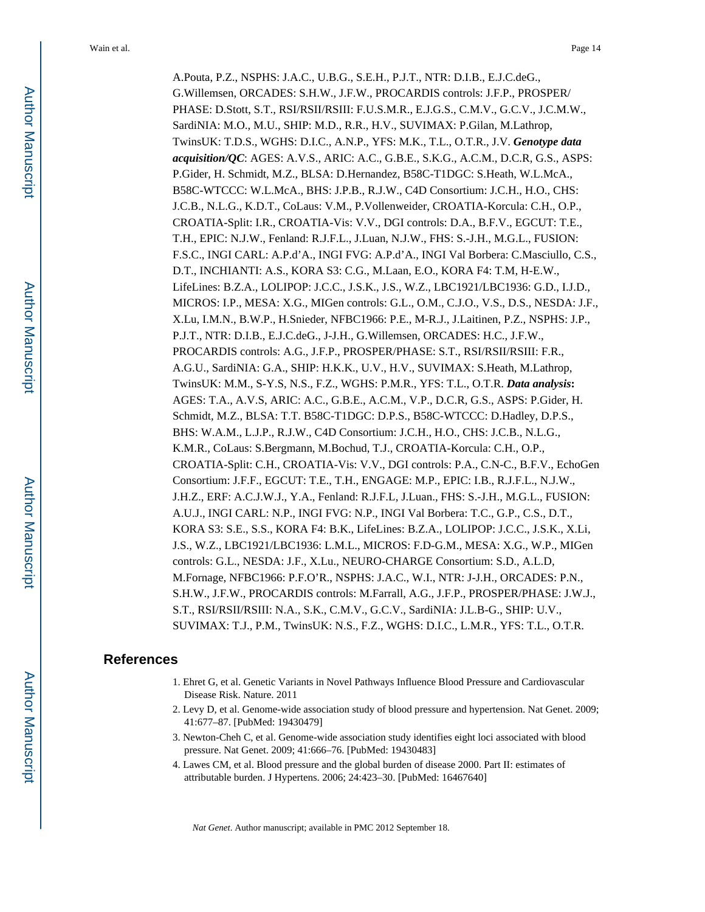A.Pouta, P.Z., NSPHS: J.A.C., U.B.G., S.E.H., P.J.T., NTR: D.I.B., E.J.C.deG., G.Willemsen, ORCADES: S.H.W., J.F.W., PROCARDIS controls: J.F.P., PROSPER/ PHASE: D.Stott, S.T., RSI/RSII/RSIII: F.U.S.M.R., E.J.G.S., C.M.V., G.C.V., J.C.M.W., SardiNIA: M.O., M.U., SHIP: M.D., R.R., H.V., SUVIMAX: P.Gilan, M.Lathrop, TwinsUK: T.D.S., WGHS: D.I.C., A.N.P., YFS: M.K., T.L., O.T.R., J.V. *Genotype data acquisition/QC*: AGES: A.V.S., ARIC: A.C., G.B.E., S.K.G., A.C.M., D.C.R, G.S., ASPS: P.Gider, H. Schmidt, M.Z., BLSA: D.Hernandez, B58C-T1DGC: S.Heath, W.L.McA., B58C-WTCCC: W.L.McA., BHS: J.P.B., R.J.W., C4D Consortium: J.C.H., H.O., CHS: J.C.B., N.L.G., K.D.T., CoLaus: V.M., P.Vollenweider, CROATIA-Korcula: C.H., O.P., CROATIA-Split: I.R., CROATIA-Vis: V.V., DGI controls: D.A., B.F.V., EGCUT: T.E., T.H., EPIC: N.J.W., Fenland: R.J.F.L., J.Luan, N.J.W., FHS: S.-J.H., M.G.L., FUSION: F.S.C., INGI CARL: A.P.d'A., INGI FVG: A.P.d'A., INGI Val Borbera: C.Masciullo, C.S., D.T., INCHIANTI: A.S., KORA S3: C.G., M.Laan, E.O., KORA F4: T.M, H-E.W., LifeLines: B.Z.A., LOLIPOP: J.C.C., J.S.K., J.S., W.Z., LBC1921/LBC1936: G.D., I.J.D., MICROS: I.P., MESA: X.G., MIGen controls: G.L., O.M., C.J.O., V.S., D.S., NESDA: J.F., X.Lu, I.M.N., B.W.P., H.Snieder, NFBC1966: P.E., M-R.J., J.Laitinen, P.Z., NSPHS: J.P., P.J.T., NTR: D.I.B., E.J.C.deG., J-J.H., G.Willemsen, ORCADES: H.C., J.F.W., PROCARDIS controls: A.G., J.F.P., PROSPER/PHASE: S.T., RSI/RSII/RSIII: F.R., A.G.U., SardiNIA: G.A., SHIP: H.K.K., U.V., H.V., SUVIMAX: S.Heath, M.Lathrop, TwinsUK: M.M., S-Y.S, N.S., F.Z., WGHS: P.M.R., YFS: T.L., O.T.R. *Data analysis***:**  AGES: T.A., A.V.S, ARIC: A.C., G.B.E., A.C.M., V.P., D.C.R, G.S., ASPS: P.Gider, H. Schmidt, M.Z., BLSA: T.T. B58C-T1DGC: D.P.S., B58C-WTCCC: D.Hadley, D.P.S., BHS: W.A.M., L.J.P., R.J.W., C4D Consortium: J.C.H., H.O., CHS: J.C.B., N.L.G., K.M.R., CoLaus: S.Bergmann, M.Bochud, T.J., CROATIA-Korcula: C.H., O.P., CROATIA-Split: C.H., CROATIA-Vis: V.V., DGI controls: P.A., C.N-C., B.F.V., EchoGen Consortium: J.F.F., EGCUT: T.E., T.H., ENGAGE: M.P., EPIC: I.B., R.J.F.L., N.J.W., J.H.Z., ERF: A.C.J.W.J., Y.A., Fenland: R.J.F.L, J.Luan., FHS: S.-J.H., M.G.L., FUSION: A.U.J., INGI CARL: N.P., INGI FVG: N.P., INGI Val Borbera: T.C., G.P., C.S., D.T., KORA S3: S.E., S.S., KORA F4: B.K., LifeLines: B.Z.A., LOLIPOP: J.C.C., J.S.K., X.Li, J.S., W.Z., LBC1921/LBC1936: L.M.L., MICROS: F.D-G.M., MESA: X.G., W.P., MIGen controls: G.L., NESDA: J.F., X.Lu., NEURO-CHARGE Consortium: S.D., A.L.D, M.Fornage, NFBC1966: P.F.O'R., NSPHS: J.A.C., W.I., NTR: J-J.H., ORCADES: P.N., S.H.W., J.F.W., PROCARDIS controls: M.Farrall, A.G., J.F.P., PROSPER/PHASE: J.W.J., S.T., RSI/RSII/RSIII: N.A., S.K., C.M.V., G.C.V., SardiNIA: J.L.B-G., SHIP: U.V., SUVIMAX: T.J., P.M., TwinsUK: N.S., F.Z., WGHS: D.I.C., L.M.R., YFS: T.L., O.T.R.

# **References**

- 1. Ehret G, et al. Genetic Variants in Novel Pathways Influence Blood Pressure and Cardiovascular Disease Risk. Nature. 2011
- 2. Levy D, et al. Genome-wide association study of blood pressure and hypertension. Nat Genet. 2009; 41:677–87. [PubMed: 19430479]
- 3. Newton-Cheh C, et al. Genome-wide association study identifies eight loci associated with blood pressure. Nat Genet. 2009; 41:666–76. [PubMed: 19430483]
- 4. Lawes CM, et al. Blood pressure and the global burden of disease 2000. Part II: estimates of attributable burden. J Hypertens. 2006; 24:423–30. [PubMed: 16467640]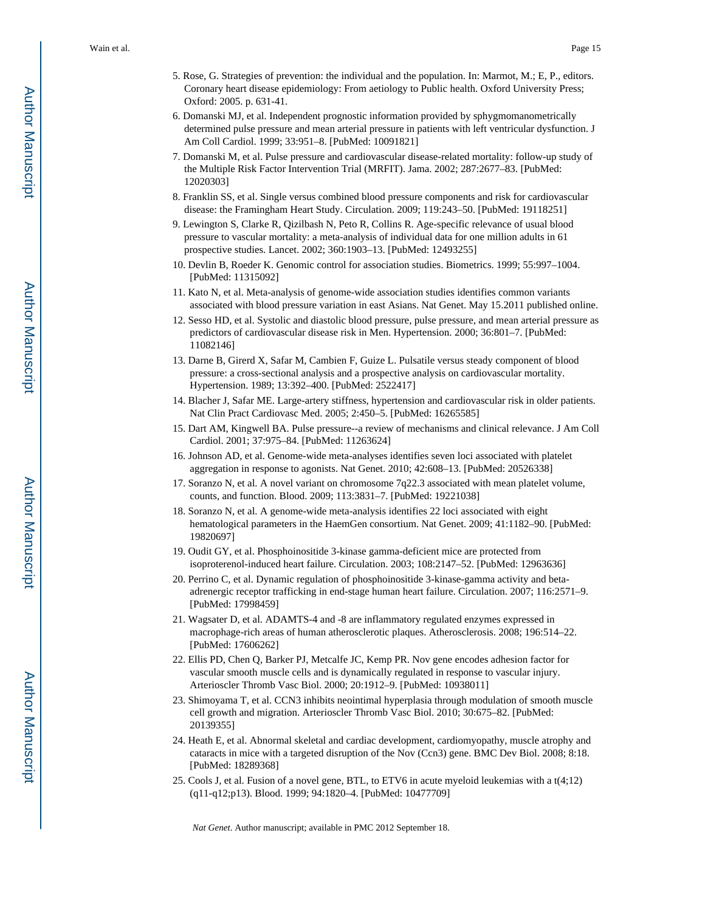- 5. Rose, G. Strategies of prevention: the individual and the population. In: Marmot, M.; E, P., editors. Coronary heart disease epidemiology: From aetiology to Public health. Oxford University Press; Oxford: 2005. p. 631-41.
- 6. Domanski MJ, et al. Independent prognostic information provided by sphygmomanometrically determined pulse pressure and mean arterial pressure in patients with left ventricular dysfunction. J Am Coll Cardiol. 1999; 33:951–8. [PubMed: 10091821]
- 7. Domanski M, et al. Pulse pressure and cardiovascular disease-related mortality: follow-up study of the Multiple Risk Factor Intervention Trial (MRFIT). Jama. 2002; 287:2677–83. [PubMed: 12020303]
- 8. Franklin SS, et al. Single versus combined blood pressure components and risk for cardiovascular disease: the Framingham Heart Study. Circulation. 2009; 119:243–50. [PubMed: 19118251]
- 9. Lewington S, Clarke R, Qizilbash N, Peto R, Collins R. Age-specific relevance of usual blood pressure to vascular mortality: a meta-analysis of individual data for one million adults in 61 prospective studies. Lancet. 2002; 360:1903–13. [PubMed: 12493255]
- 10. Devlin B, Roeder K. Genomic control for association studies. Biometrics. 1999; 55:997–1004. [PubMed: 11315092]
- 11. Kato N, et al. Meta-analysis of genome-wide association studies identifies common variants associated with blood pressure variation in east Asians. Nat Genet. May 15.2011 published online.
- 12. Sesso HD, et al. Systolic and diastolic blood pressure, pulse pressure, and mean arterial pressure as predictors of cardiovascular disease risk in Men. Hypertension. 2000; 36:801–7. [PubMed: 11082146]
- 13. Darne B, Girerd X, Safar M, Cambien F, Guize L. Pulsatile versus steady component of blood pressure: a cross-sectional analysis and a prospective analysis on cardiovascular mortality. Hypertension. 1989; 13:392–400. [PubMed: 2522417]
- 14. Blacher J, Safar ME. Large-artery stiffness, hypertension and cardiovascular risk in older patients. Nat Clin Pract Cardiovasc Med. 2005; 2:450–5. [PubMed: 16265585]
- 15. Dart AM, Kingwell BA. Pulse pressure--a review of mechanisms and clinical relevance. J Am Coll Cardiol. 2001; 37:975–84. [PubMed: 11263624]
- 16. Johnson AD, et al. Genome-wide meta-analyses identifies seven loci associated with platelet aggregation in response to agonists. Nat Genet. 2010; 42:608–13. [PubMed: 20526338]
- 17. Soranzo N, et al. A novel variant on chromosome 7q22.3 associated with mean platelet volume, counts, and function. Blood. 2009; 113:3831–7. [PubMed: 19221038]
- 18. Soranzo N, et al. A genome-wide meta-analysis identifies 22 loci associated with eight hematological parameters in the HaemGen consortium. Nat Genet. 2009; 41:1182–90. [PubMed: 19820697]
- 19. Oudit GY, et al. Phosphoinositide 3-kinase gamma-deficient mice are protected from isoproterenol-induced heart failure. Circulation. 2003; 108:2147–52. [PubMed: 12963636]
- 20. Perrino C, et al. Dynamic regulation of phosphoinositide 3-kinase-gamma activity and betaadrenergic receptor trafficking in end-stage human heart failure. Circulation. 2007; 116:2571–9. [PubMed: 17998459]
- 21. Wagsater D, et al. ADAMTS-4 and -8 are inflammatory regulated enzymes expressed in macrophage-rich areas of human atherosclerotic plaques. Atherosclerosis. 2008; 196:514–22. [PubMed: 17606262]
- 22. Ellis PD, Chen Q, Barker PJ, Metcalfe JC, Kemp PR. Nov gene encodes adhesion factor for vascular smooth muscle cells and is dynamically regulated in response to vascular injury. Arterioscler Thromb Vasc Biol. 2000; 20:1912–9. [PubMed: 10938011]
- 23. Shimoyama T, et al. CCN3 inhibits neointimal hyperplasia through modulation of smooth muscle cell growth and migration. Arterioscler Thromb Vasc Biol. 2010; 30:675–82. [PubMed: 20139355]
- 24. Heath E, et al. Abnormal skeletal and cardiac development, cardiomyopathy, muscle atrophy and cataracts in mice with a targeted disruption of the Nov (Ccn3) gene. BMC Dev Biol. 2008; 8:18. [PubMed: 18289368]
- 25. Cools J, et al. Fusion of a novel gene, BTL, to ETV6 in acute myeloid leukemias with a t(4;12) (q11-q12;p13). Blood. 1999; 94:1820–4. [PubMed: 10477709]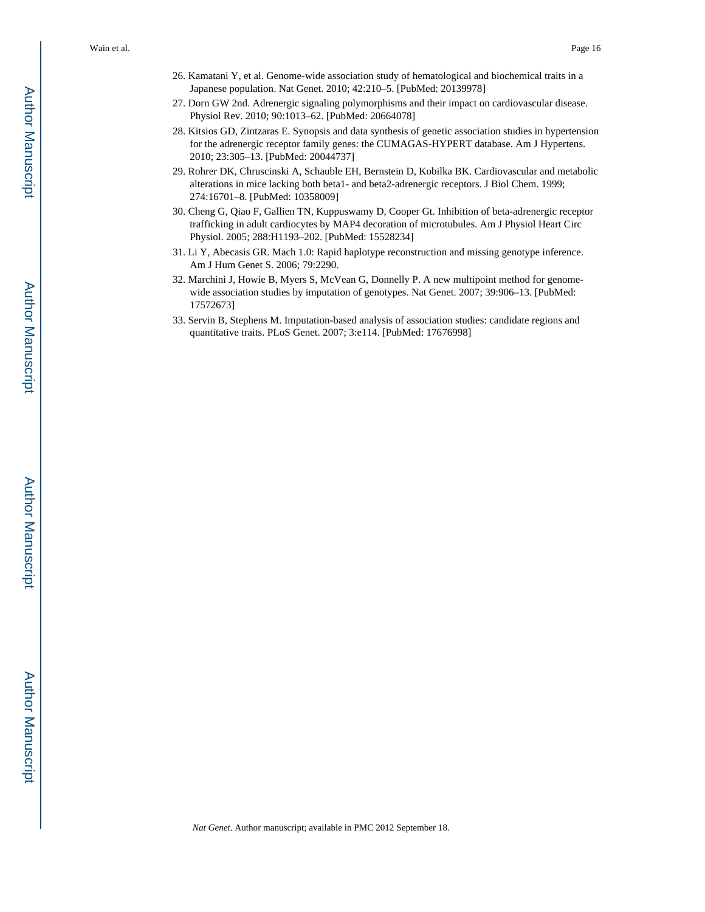- 26. Kamatani Y, et al. Genome-wide association study of hematological and biochemical traits in a Japanese population. Nat Genet. 2010; 42:210–5. [PubMed: 20139978]
- 27. Dorn GW 2nd. Adrenergic signaling polymorphisms and their impact on cardiovascular disease. Physiol Rev. 2010; 90:1013–62. [PubMed: 20664078]
- 28. Kitsios GD, Zintzaras E. Synopsis and data synthesis of genetic association studies in hypertension for the adrenergic receptor family genes: the CUMAGAS-HYPERT database. Am J Hypertens. 2010; 23:305–13. [PubMed: 20044737]
- 29. Rohrer DK, Chruscinski A, Schauble EH, Bernstein D, Kobilka BK. Cardiovascular and metabolic alterations in mice lacking both beta1- and beta2-adrenergic receptors. J Biol Chem. 1999; 274:16701–8. [PubMed: 10358009]
- 30. Cheng G, Qiao F, Gallien TN, Kuppuswamy D, Cooper Gt. Inhibition of beta-adrenergic receptor trafficking in adult cardiocytes by MAP4 decoration of microtubules. Am J Physiol Heart Circ Physiol. 2005; 288:H1193–202. [PubMed: 15528234]
- 31. Li Y, Abecasis GR. Mach 1.0: Rapid haplotype reconstruction and missing genotype inference. Am J Hum Genet S. 2006; 79:2290.
- 32. Marchini J, Howie B, Myers S, McVean G, Donnelly P. A new multipoint method for genomewide association studies by imputation of genotypes. Nat Genet. 2007; 39:906–13. [PubMed: 17572673]
- 33. Servin B, Stephens M. Imputation-based analysis of association studies: candidate regions and quantitative traits. PLoS Genet. 2007; 3:e114. [PubMed: 17676998]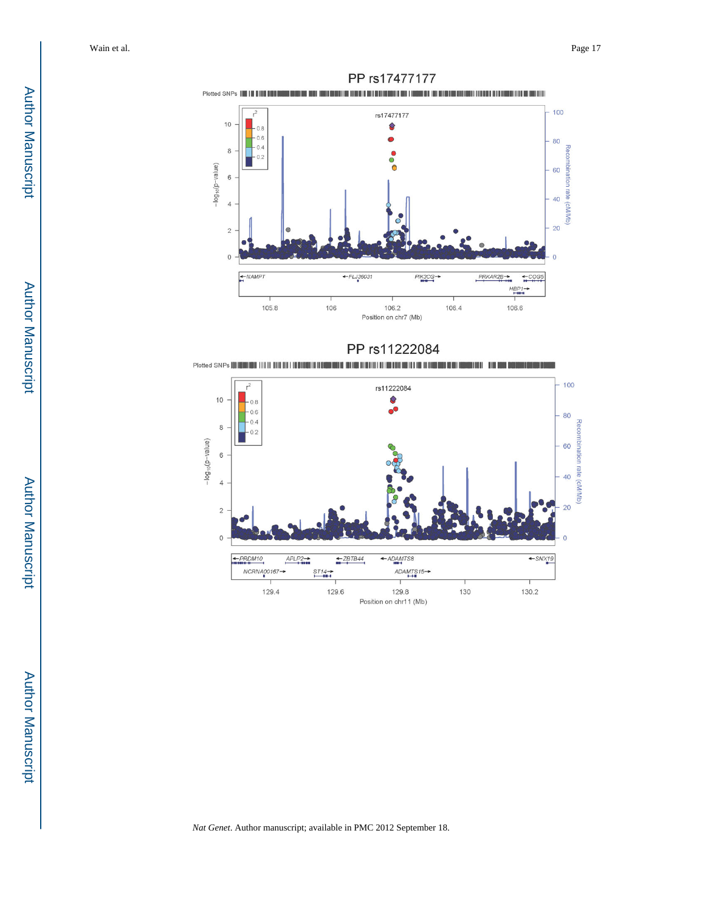

PP rs11222084

Plotted SNPs <mark>Hilliannia</mark> (HTM Hill HTM HTM) (Consumer An anti-**SALL JULI** 

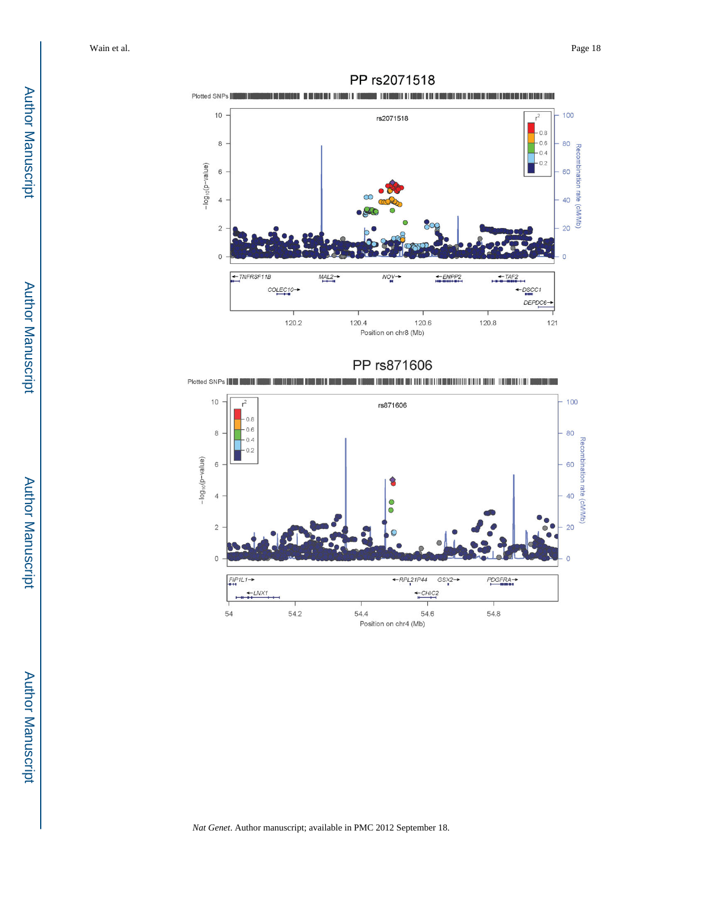

PP rs871606 non consider a compared to a fire out the contract contract the color term of the compared the consideration Plotted SNPs **|| || || || || || || || || || || ||** 

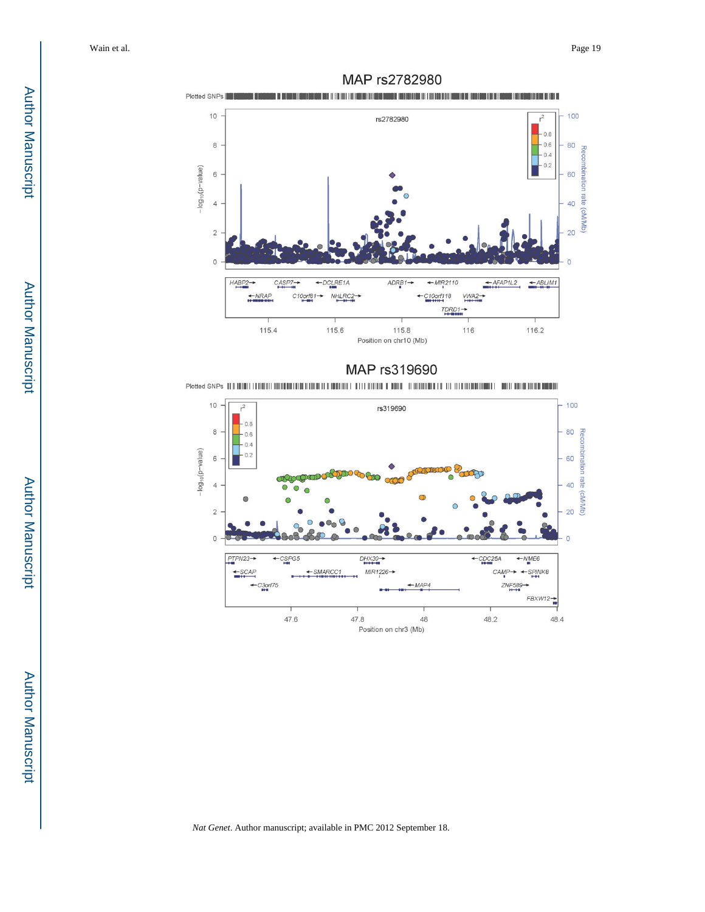

MAP rs319690 Plotted SNPs. The UNITED THE UNITED STATES IN THE TELL BE THE TELL BE THE TELL BE THE UNITED STATES OF THE UNITED STATES OF DECISION  $10$ rs319690

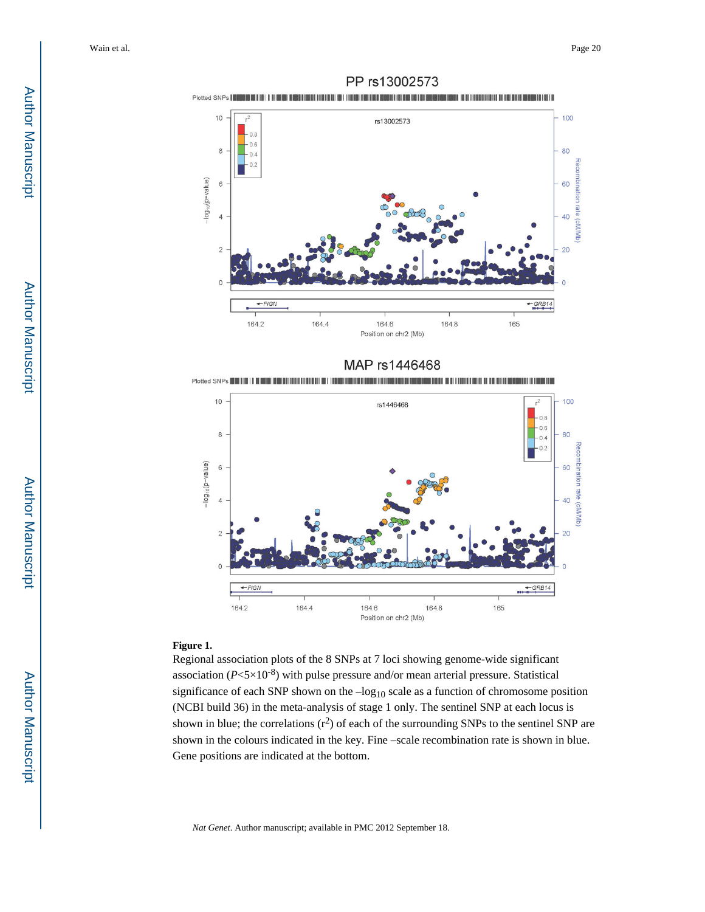

Plotted SNPs (001 IN IT ON THE RECORD IN THE RELEASED FOR THE RECORD IN THE RECORD IN THE RELEASED OF THE RECORD IN THE RELEASED IN THE RECORD IN THE RECORD IN THE RELEASED OF THE RELEASED OF THE RELEASED OF THE RELEASED O



#### **Figure 1.**

Regional association plots of the 8 SNPs at 7 loci showing genome-wide significant association  $(P<5\times10^{-8})$  with pulse pressure and/or mean arterial pressure. Statistical significance of each SNP shown on the  $-\log_{10}$  scale as a function of chromosome position (NCBI build 36) in the meta-analysis of stage 1 only. The sentinel SNP at each locus is shown in blue; the correlations  $(r^2)$  of each of the surrounding SNPs to the sentinel SNP are shown in the colours indicated in the key. Fine –scale recombination rate is shown in blue. Gene positions are indicated at the bottom.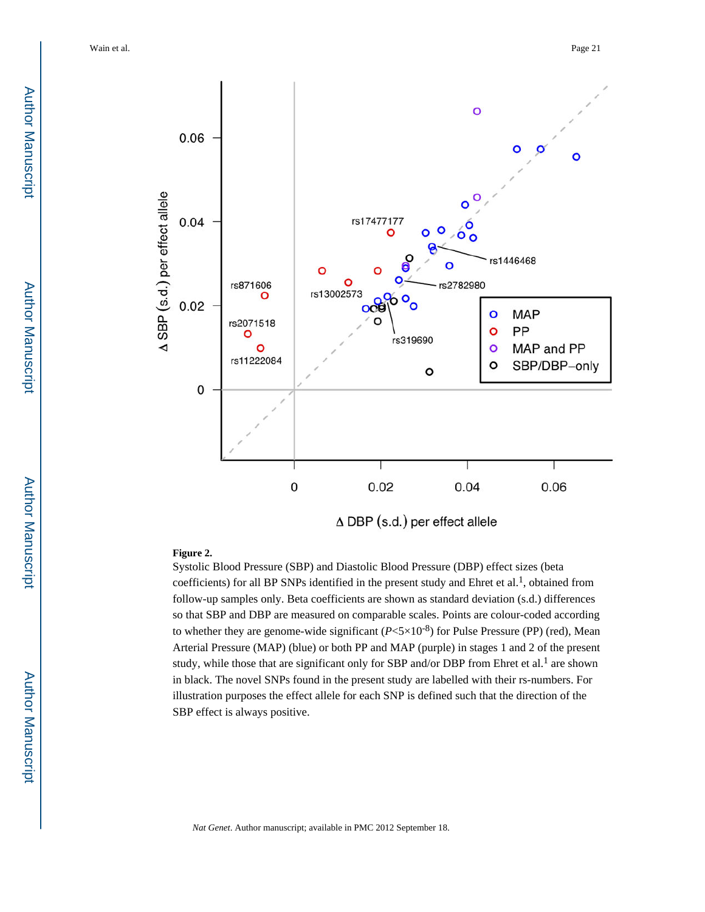

 $\Delta$  DBP (s.d.) per effect allele

#### **Figure 2.**

Systolic Blood Pressure (SBP) and Diastolic Blood Pressure (DBP) effect sizes (beta coefficients) for all BP SNPs identified in the present study and Ehret et al.<sup>1</sup>, obtained from follow-up samples only. Beta coefficients are shown as standard deviation (s.d.) differences so that SBP and DBP are measured on comparable scales. Points are colour-coded according to whether they are genome-wide significant  $(P<5\times10^{-8})$  for Pulse Pressure (PP) (red), Mean Arterial Pressure (MAP) (blue) or both PP and MAP (purple) in stages 1 and 2 of the present study, while those that are significant only for SBP and/or DBP from Ehret et al.<sup>1</sup> are shown in black. The novel SNPs found in the present study are labelled with their rs-numbers. For illustration purposes the effect allele for each SNP is defined such that the direction of the SBP effect is always positive.